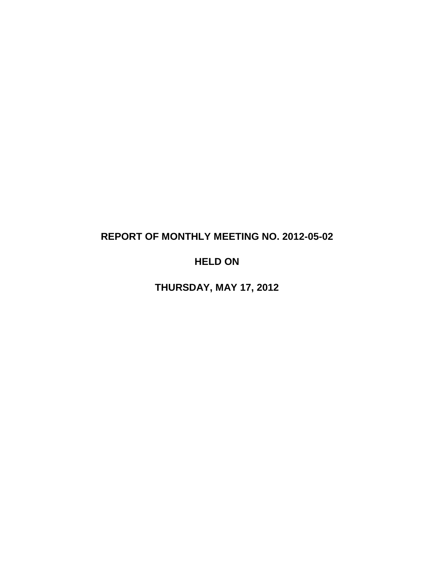# **REPORT OF MONTHLY MEETING NO. 2012-05-02**

# **HELD ON**

**THURSDAY, MAY 17, 2012**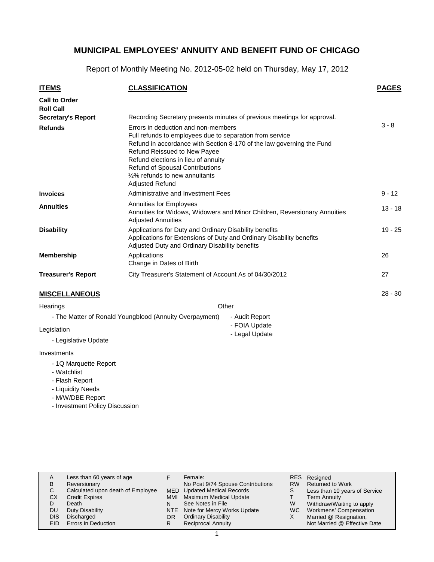Report of Monthly Meeting No. 2012-05-02 held on Thursday, May 17, 2012

| <b>ITEMS</b>                             | <b>CLASSIFICATION</b>                                                                                                                                                                                                                                                        |                                                                           | <b>PAGES</b> |
|------------------------------------------|------------------------------------------------------------------------------------------------------------------------------------------------------------------------------------------------------------------------------------------------------------------------------|---------------------------------------------------------------------------|--------------|
| <b>Call to Order</b><br><b>Roll Call</b> |                                                                                                                                                                                                                                                                              |                                                                           |              |
| <b>Secretary's Report</b>                |                                                                                                                                                                                                                                                                              | Recording Secretary presents minutes of previous meetings for approval.   |              |
| <b>Refunds</b>                           | Errors in deduction and non-members<br>Full refunds to employees due to separation from service<br><b>Refund Reissued to New Payee</b><br>Refund elections in lieu of annuity<br>Refund of Spousal Contributions<br>1/2% refunds to new annuitants<br><b>Adjusted Refund</b> | Refund in accordance with Section 8-170 of the law governing the Fund     | $3 - 8$      |
| <b>Invoices</b>                          | Administrative and Investment Fees                                                                                                                                                                                                                                           |                                                                           | $9 - 12$     |
| <b>Annuities</b>                         | Annuities for Employees<br><b>Adjusted Annuities</b>                                                                                                                                                                                                                         | Annuities for Widows, Widowers and Minor Children, Reversionary Annuities | $13 - 18$    |
| <b>Disability</b>                        | Applications for Duty and Ordinary Disability benefits<br>Applications for Extensions of Duty and Ordinary Disability benefits<br>Adjusted Duty and Ordinary Disability benefits                                                                                             |                                                                           | $19 - 25$    |
| <b>Membership</b>                        | Applications<br>Change in Dates of Birth                                                                                                                                                                                                                                     |                                                                           | 26           |
| <b>Treasurer's Report</b>                | City Treasurer's Statement of Account As of 04/30/2012                                                                                                                                                                                                                       |                                                                           | 27           |
| <b>MISCELLANEOUS</b>                     |                                                                                                                                                                                                                                                                              |                                                                           | $28 - 30$    |
| Hearings                                 | Other                                                                                                                                                                                                                                                                        |                                                                           |              |
|                                          | - The Matter of Ronald Youngblood (Annuity Overpayment)                                                                                                                                                                                                                      | - Audit Report                                                            |              |
| Legislation                              |                                                                                                                                                                                                                                                                              | - FOIA Update<br>عثماه والمومل                                            |              |

- Legal Update

- Legislative Update

#### Investments

- 1Q Marquette Report
- Watchlist
- Flash Report
- Liquidity Needs
- M/W/DBE Report
- Investment Policy Discussion

| А<br>в<br>С<br>СX<br>D<br>DU<br><b>DIS</b><br>EID | Less than 60 years of age<br>Reversionary<br>Calculated upon death of Employee<br><b>Credit Expires</b><br>Death<br>Duty Disability<br>Discharged<br>Errors in Deduction | <b>MMI</b><br>OR | Female:<br>No Post 9/74 Spouse Contributions<br><b>MED</b> Updated Medical Records<br><b>Maximum Medical Update</b><br>See Notes in File<br>NTE Note for Mercy Works Update<br><b>Ordinary Disability</b><br><b>Reciprocal Annuity</b> | <b>RES</b><br><b>RW</b><br>S<br>W<br>WC.<br>Х | Resigned<br><b>Returned to Work</b><br>Less than 10 years of Service<br><b>Term Annuity</b><br>Withdraw/Waiting to apply<br>Workmens' Compensation<br>Married @ Resignation,<br>Not Married @ Effective Date |
|---------------------------------------------------|--------------------------------------------------------------------------------------------------------------------------------------------------------------------------|------------------|----------------------------------------------------------------------------------------------------------------------------------------------------------------------------------------------------------------------------------------|-----------------------------------------------|--------------------------------------------------------------------------------------------------------------------------------------------------------------------------------------------------------------|
|---------------------------------------------------|--------------------------------------------------------------------------------------------------------------------------------------------------------------------------|------------------|----------------------------------------------------------------------------------------------------------------------------------------------------------------------------------------------------------------------------------------|-----------------------------------------------|--------------------------------------------------------------------------------------------------------------------------------------------------------------------------------------------------------------|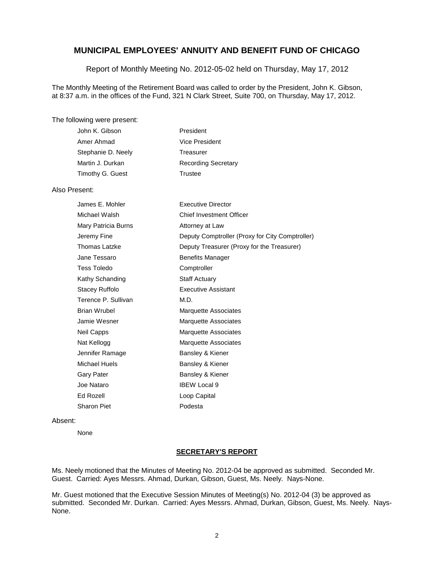Report of Monthly Meeting No. 2012-05-02 held on Thursday, May 17, 2012

The Monthly Meeting of the Retirement Board was called to order by the President, John K. Gibson, at 8:37 a.m. in the offices of the Fund, 321 N Clark Street, Suite 700, on Thursday, May 17, 2012.

#### The following were present:

| John K. Gibson     | President                  |
|--------------------|----------------------------|
| Amer Ahmad         | Vice President             |
| Stephanie D. Neely | Treasurer                  |
| Martin J. Durkan   | <b>Recording Secretary</b> |
| Timothy G. Guest   | Trustee                    |
|                    |                            |

#### Also Present:

| James E. Mohler     | <b>Executive Director</b>                       |
|---------------------|-------------------------------------------------|
| Michael Walsh       | <b>Chief Investment Officer</b>                 |
| Mary Patricia Burns | Attorney at Law                                 |
| Jeremy Fine         | Deputy Comptroller (Proxy for City Comptroller) |
| Thomas Latzke       | Deputy Treasurer (Proxy for the Treasurer)      |
| Jane Tessaro        | <b>Benefits Manager</b>                         |
| Tess Toledo         | Comptroller                                     |
| Kathy Schanding     | <b>Staff Actuary</b>                            |
| Stacey Ruffolo      | <b>Executive Assistant</b>                      |
| Terence P. Sullivan | M.D.                                            |
| Brian Wrubel        | Marquette Associates                            |
| Jamie Wesner        | <b>Marquette Associates</b>                     |
| Neil Capps          | <b>Marquette Associates</b>                     |
| Nat Kellogg         | <b>Marquette Associates</b>                     |
| Jennifer Ramage     | Bansley & Kiener                                |
| Michael Huels       | Bansley & Kiener                                |
| Gary Pater          | Bansley & Kiener                                |
| Joe Nataro          | <b>IBEW Local 9</b>                             |
| Ed Rozell           | Loop Capital                                    |
| Sharon Piet         | Podesta                                         |

#### Absent:

None

#### **SECRETARY'S REPORT**

Ms. Neely motioned that the Minutes of Meeting No. 2012-04 be approved as submitted. Seconded Mr. Guest. Carried: Ayes Messrs. Ahmad, Durkan, Gibson, Guest, Ms. Neely. Nays-None.

Mr. Guest motioned that the Executive Session Minutes of Meeting(s) No. 2012-04 (3) be approved as submitted. Seconded Mr. Durkan. Carried: Ayes Messrs. Ahmad, Durkan, Gibson, Guest, Ms. Neely. Nays-None.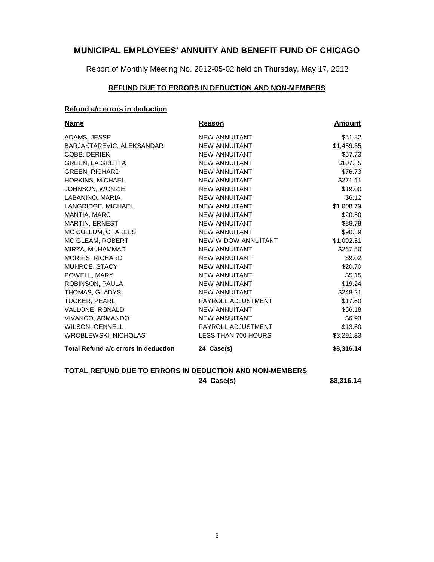Report of Monthly Meeting No. 2012-05-02 held on Thursday, May 17, 2012

# **REFUND DUE TO ERRORS IN DEDUCTION AND NON-MEMBERS**

#### **Refund a/c errors in deduction**

| Name                                 | Reason                     | <b>Amount</b> |
|--------------------------------------|----------------------------|---------------|
| ADAMS, JESSE                         | <b>NEW ANNUITANT</b>       | \$51.82       |
| BARJAKTAREVIC, ALEKSANDAR            | <b>NEW ANNUITANT</b>       | \$1,459.35    |
| COBB, DERIEK                         | <b>NEW ANNUITANT</b>       | \$57.73       |
| <b>GREEN, LA GRETTA</b>              | <b>NEW ANNUITANT</b>       | \$107.85      |
| <b>GREEN, RICHARD</b>                | <b>NEW ANNUITANT</b>       | \$76.73       |
| <b>HOPKINS, MICHAEL</b>              | NEW ANNUITANT              | \$271.11      |
| <b>JOHNSON, WONZIE</b>               | NEW ANNUITANT              | \$19.00       |
| LABANINO, MARIA                      | <b>NEW ANNUITANT</b>       | \$6.12        |
| LANGRIDGE, MICHAEL                   | <b>NEW ANNUITANT</b>       | \$1,008.79    |
| <b>MANTIA, MARC</b>                  | <b>NEW ANNUITANT</b>       | \$20.50       |
| <b>MARTIN, ERNEST</b>                | <b>NEW ANNUITANT</b>       | \$88.78       |
| MC CULLUM, CHARLES                   | <b>NEW ANNUITANT</b>       | \$90.39       |
| MC GLEAM, ROBERT                     | NEW WIDOW ANNUITANT        | \$1,092.51    |
| MIRZA, MUHAMMAD                      | <b>NEW ANNUITANT</b>       | \$267.50      |
| <b>MORRIS, RICHARD</b>               | <b>NEW ANNUITANT</b>       | \$9.02        |
| MUNROE, STACY                        | NEW ANNUITANT              | \$20.70       |
| POWELL, MARY                         | <b>NEW ANNUITANT</b>       | \$5.15        |
| ROBINSON, PAULA                      | <b>NEW ANNUITANT</b>       | \$19.24       |
| THOMAS, GLADYS                       | <b>NEW ANNUITANT</b>       | \$248.21      |
| <b>TUCKER, PEARL</b>                 | PAYROLL ADJUSTMENT         | \$17.60       |
| VALLONE, RONALD                      | <b>NEW ANNUITANT</b>       | \$66.18       |
| VIVANCO, ARMANDO                     | <b>NEW ANNUITANT</b>       | \$6.93        |
| WILSON, GENNELL                      | PAYROLL ADJUSTMENT         | \$13.60       |
| <b>WROBLEWSKI, NICHOLAS</b>          | <b>LESS THAN 700 HOURS</b> | \$3,291.33    |
| Total Refund a/c errors in deduction | 24 Case(s)                 | \$8,316.14    |

#### **TOTAL REFUND DUE TO ERRORS IN DEDUCTION AND NON-MEMBERS**

**24 Case(s) \$8,316.14**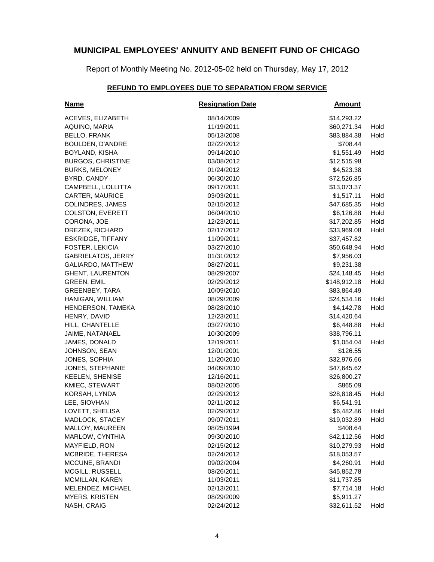Report of Monthly Meeting No. 2012-05-02 held on Thursday, May 17, 2012

# **REFUND TO EMPLOYEES DUE TO SEPARATION FROM SERVICE**

| <b>Name</b>               | <b>Resignation Date</b> | <b>Amount</b> |      |
|---------------------------|-------------------------|---------------|------|
| ACEVES, ELIZABETH         | 08/14/2009              | \$14,293.22   |      |
| AQUINO, MARIA             | 11/19/2011              | \$60,271.34   | Hold |
| <b>BELLO, FRANK</b>       | 05/13/2008              | \$83,884.38   | Hold |
| BOULDEN, D'ANDRE          | 02/22/2012              | \$708.44      |      |
| BOYLAND, KISHA            | 09/14/2010              | \$1,551.49    | Hold |
| <b>BURGOS, CHRISTINE</b>  | 03/08/2012              | \$12,515.98   |      |
| <b>BURKS, MELONEY</b>     | 01/24/2012              | \$4,523.38    |      |
| BYRD, CANDY               | 06/30/2010              | \$72,526.85   |      |
| CAMPBELL, LOLLITTA        | 09/17/2011              | \$13,073.37   |      |
| CARTER, MAURICE           | 03/03/2011              | \$1,517.11    | Hold |
| <b>COLINDRES, JAMES</b>   | 02/15/2012              | \$47,685.35   | Hold |
| COLSTON, EVERETT          | 06/04/2010              | \$6,126.88    | Hold |
| CORONA, JOE               | 12/23/2011              | \$17,202.85   | Hold |
| DREZEK, RICHARD           | 02/17/2012              | \$33,969.08   | Hold |
| <b>ESKRIDGE, TIFFANY</b>  | 11/09/2011              | \$37,457.82   |      |
| FOSTER, LEKICIA           | 03/27/2010              | \$50,648.94   | Hold |
| <b>GABRIELATOS, JERRY</b> | 01/31/2012              | \$7,956.03    |      |
| GALIARDO, MATTHEW         | 08/27/2011              | \$9,231.38    |      |
| <b>GHENT, LAURENTON</b>   | 08/29/2007              | \$24,148.45   | Hold |
| <b>GREEN, EMIL</b>        | 02/29/2012              | \$148,912.18  | Hold |
| GREENBEY, TARA            | 10/09/2010              | \$83,864.49   |      |
| HANIGAN, WILLIAM          | 08/29/2009              | \$24,534.16   | Hold |
| HENDERSON, TAMEKA         | 08/28/2010              | \$4,142.78    | Hold |
| HENRY, DAVID              | 12/23/2011              | \$14,420.64   |      |
| HILL, CHANTELLE           | 03/27/2010              | \$6,448.88    | Hold |
| JAIME, NATANAEL           | 10/30/2009              | \$38,796.11   |      |
| JAMES, DONALD             | 12/19/2011              | \$1,054.04    | Hold |
| JOHNSON, SEAN             | 12/01/2001              | \$126.55      |      |
| JONES, SOPHIA             | 11/20/2010              | \$32,976.66   |      |
| JONES, STEPHANIE          | 04/09/2010              | \$47,645.62   |      |
| <b>KEELEN, SHENISE</b>    | 12/16/2011              | \$26,800.27   |      |
| KMIEC, STEWART            | 08/02/2005              | \$865.09      |      |
| KORSAH, LYNDA             | 02/29/2012              | \$28,818.45   | Hold |
| LEE, SIOVHAN              | 02/11/2012              | \$6,541.91    |      |
| LOVETT, SHELISA           | 02/29/2012              | \$6,482.86    | Hold |
| MADLOCK, STACEY           | 09/07/2011              | \$19,032.89   | Hold |
| MALLOY, MAUREEN           | 08/25/1994              | \$408.64      |      |
| MARLOW, CYNTHIA           | 09/30/2010              | \$42,112.56   | Hold |
| MAYFIELD, RON             | 02/15/2012              | \$10,279.93   | Hold |
| MCBRIDE, THERESA          | 02/24/2012              | \$18,053.57   |      |
| MCCUNE, BRANDI            | 09/02/2004              | \$4,260.91    | Hold |
| MCGILL, RUSSELL           | 08/26/2011              | \$45,852.78   |      |
| MCMILLAN, KAREN           | 11/03/2011              | \$11,737.85   |      |
| MELENDEZ, MICHAEL         | 02/13/2011              | \$7,714.18    | Hold |
| <b>MYERS, KRISTEN</b>     | 08/29/2009              | \$5,911.27    |      |
| NASH, CRAIG               | 02/24/2012              | \$32,611.52   | Hold |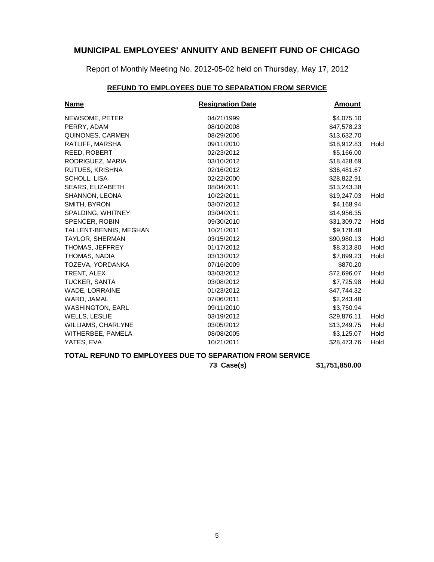Report of Monthly Meeting No. 2012-05-02 held on Thursday, May 17, 2012

# **REFUND TO EMPLOYEES DUE TO SEPARATION FROM SERVICE**

| <b>Name</b>             | <b>Resignation Date</b> | <b>Amount</b> |      |
|-------------------------|-------------------------|---------------|------|
| NEWSOME, PETER          | 04/21/1999              | \$4,075.10    |      |
| PERRY, ADAM             | 08/10/2008              | \$47,578.23   |      |
| QUINONES, CARMEN        | 08/29/2006              | \$13,632.70   |      |
| RATLIFF, MARSHA         | 09/11/2010              | \$18,912.83   | Hold |
| REED, ROBERT            | 02/23/2012              | \$5,166.00    |      |
| RODRIGUEZ, MARIA        | 03/10/2012              | \$18,428.69   |      |
| RUTUES, KRISHNA         | 02/16/2012              | \$36,481.67   |      |
| SCHOLL, LISA            | 02/22/2000              | \$28,822.91   |      |
| SEARS, ELIZABETH        | 08/04/2011              | \$13,243.38   |      |
| SHANNON, LEONA          | 10/22/2011              | \$19,247.03   | Hold |
| SMITH, BYRON            | 03/07/2012              | \$4,168.94    |      |
| SPALDING, WHITNEY       | 03/04/2011              | \$14,956.35   |      |
| <b>SPENCER, ROBIN</b>   | 09/30/2010              | \$31,309.72   | Hold |
| TALLENT-BENNIS, MEGHAN  | 10/21/2011              | \$9,178.48    |      |
| <b>TAYLOR, SHERMAN</b>  | 03/15/2012              | \$90,980.13   | Hold |
| THOMAS, JEFFREY         | 01/17/2012              | \$8,313.80    | Hold |
| THOMAS, NADIA           | 03/13/2012              | \$7,899.23    | Hold |
| TOZEVA, YORDANKA        | 07/16/2009              | \$870.20      |      |
| <b>TRENT, ALEX</b>      | 03/03/2012              | \$72,696,07   | Hold |
| <b>TUCKER, SANTA</b>    | 03/08/2012              | \$7,725.98    | Hold |
| WADE, LORRAINE          | 01/23/2012              | \$47,744.32   |      |
| WARD, JAMAL             | 07/06/2011              | \$2,243.48    |      |
| <b>WASHINGTON, EARL</b> | 09/11/2010              | \$3,750.94    |      |
| <b>WELLS, LESLIE</b>    | 03/19/2012              | \$29,876.11   | Hold |
| WILLIAMS, CHARLYNE      | 03/05/2012              | \$13,249.75   | Hold |
| WITHERBEE, PAMELA       | 08/08/2005              | \$3,125.07    | Hold |
| YATES, EVA              | 10/21/2011              | \$28,473.76   | Hold |

# **TOTAL REFUND TO EMPLOYEES DUE TO SEPARATION FROM SERVICE**

**73 Case(s) \$1,751,850.00**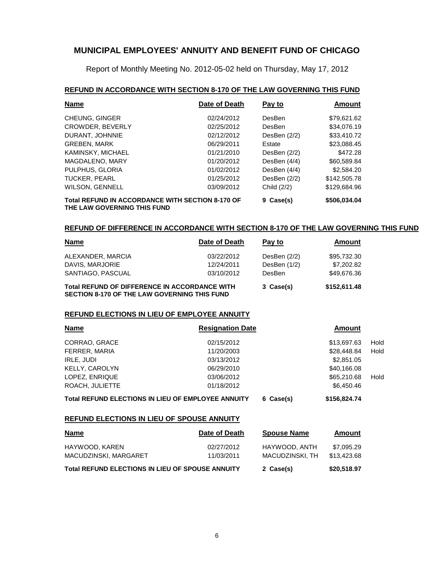Report of Monthly Meeting No. 2012-05-02 held on Thursday, May 17, 2012

#### **REFUND IN ACCORDANCE WITH SECTION 8-170 OF THE LAW GOVERNING THIS FUND**

| <b>Name</b>                                                                     | Date of Death | Pay to       | <b>Amount</b> |
|---------------------------------------------------------------------------------|---------------|--------------|---------------|
| <b>CHEUNG, GINGER</b>                                                           | 02/24/2012    | DesBen       | \$79.621.62   |
| <b>CROWDER, BEVERLY</b>                                                         | 02/25/2012    | DesBen       | \$34,076.19   |
| DURANT, JOHNNIE                                                                 | 02/12/2012    | DesBen (2/2) | \$33,410.72   |
| <b>GREBEN, MARK</b>                                                             | 06/29/2011    | Estate       | \$23,088.45   |
| KAMINSKY, MICHAEL                                                               | 01/21/2010    | DesBen (2/2) | \$472.28      |
| MAGDALENO, MARY                                                                 | 01/20/2012    | DesBen (4/4) | \$60,589.84   |
| PULPHUS, GLORIA                                                                 | 01/02/2012    | DesBen (4/4) | \$2,584.20    |
| TUCKER, PEARL                                                                   | 01/25/2012    | DesBen (2/2) | \$142,505.78  |
| WILSON, GENNELL                                                                 | 03/09/2012    | Child (2/2)  | \$129,684.96  |
| Total REFUND IN ACCORDANCE WITH SECTION 8-170 OF<br>THE LAW GOVERNING THIS FUND |               | 9 Case(s)    | \$506,034.04  |

#### **REFUND OF DIFFERENCE IN ACCORDANCE WITH SECTION 8-170 OF THE LAW GOVERNING THIS FUND**

| <b>Name</b>                                                                                          | Date of Death | Pay to         | Amount       |
|------------------------------------------------------------------------------------------------------|---------------|----------------|--------------|
| ALEXANDER, MARCIA                                                                                    | 03/22/2012    | DesBen $(2/2)$ | \$95,732.30  |
| DAVIS, MARJORIE                                                                                      | 12/24/2011    | DesBen (1/2)   | \$7,202.82   |
| SANTIAGO, PASCUAL                                                                                    | 03/10/2012    | DesBen         | \$49,676.36  |
| <b>Total REFUND OF DIFFERENCE IN ACCORDANCE WITH</b><br>SECTION 8-170 OF THE LAW GOVERNING THIS FUND |               | 3 Case(s)      | \$152,611.48 |

#### **REFUND ELECTIONS IN LIEU OF EMPLOYEE ANNUITY**

| <b>Name</b>           | <b>Resignation Date</b> | Amount      |      |
|-----------------------|-------------------------|-------------|------|
| CORRAO, GRACE         | 02/15/2012              | \$13,697.63 | Hold |
| FERRER, MARIA         | 11/20/2003              | \$28,448.84 | Hold |
| IRLE, JUDI            | 03/13/2012              | \$2,851.05  |      |
| <b>KELLY, CAROLYN</b> | 06/29/2010              | \$40,166,08 |      |
| LOPEZ, ENRIQUE        | 03/06/2012              | \$65,210.68 | Hold |
| ROACH, JULIETTE       | 01/18/2012              | \$6,450.46  |      |

# **Total REFUND ELECTIONS IN LIEU OF EMPLOYEE ANNUITY 6 Case(s) \$156,824.74**

#### **REFUND ELECTIONS IN LIEU OF SPOUSE ANNUITY**

| <b>Name</b>                                             | Date of Death            | <b>Spouse Name</b>               | Amount                    |
|---------------------------------------------------------|--------------------------|----------------------------------|---------------------------|
| HAYWOOD, KAREN<br>MACUDZINSKI, MARGARET                 | 02/27/2012<br>11/03/2011 | HAYWOOD, ANTH<br>MACUDZINSKI, TH | \$7.095.29<br>\$13,423,68 |
| <b>Total REFUND ELECTIONS IN LIEU OF SPOUSE ANNUITY</b> |                          | 2 Case(s)                        | \$20,518.97               |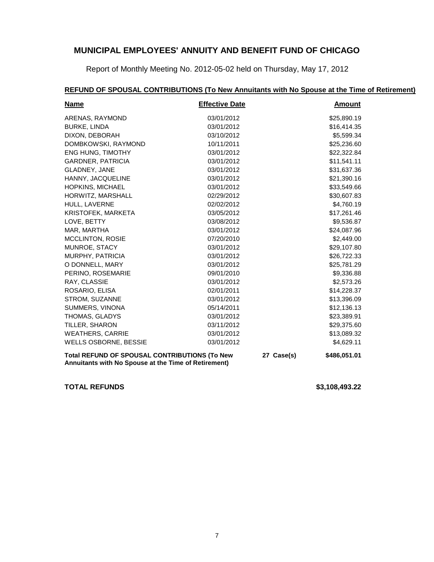Report of Monthly Meeting No. 2012-05-02 held on Thursday, May 17, 2012

# **REFUND OF SPOUSAL CONTRIBUTIONS (To New Annuitants with No Spouse at the Time of Retirement)**

| <b>Name</b>                                                                                           | <b>Effective Date</b> |            | <b>Amount</b> |
|-------------------------------------------------------------------------------------------------------|-----------------------|------------|---------------|
| ARENAS, RAYMOND                                                                                       | 03/01/2012            |            | \$25,890.19   |
| <b>BURKE, LINDA</b>                                                                                   | 03/01/2012            |            | \$16,414.35   |
| DIXON, DEBORAH                                                                                        | 03/10/2012            |            | \$5,599.34    |
| DOMBKOWSKI, RAYMOND                                                                                   | 10/11/2011            |            | \$25,236.60   |
| <b>ENG HUNG, TIMOTHY</b>                                                                              | 03/01/2012            |            | \$22,322.84   |
| <b>GARDNER, PATRICIA</b>                                                                              | 03/01/2012            |            | \$11,541.11   |
| GLADNEY, JANE                                                                                         | 03/01/2012            |            | \$31,637.36   |
| HANNY, JACQUELINE                                                                                     | 03/01/2012            |            | \$21,390.16   |
| <b>HOPKINS, MICHAEL</b>                                                                               | 03/01/2012            |            | \$33,549.66   |
| HORWITZ, MARSHALL                                                                                     | 02/29/2012            |            | \$30,607.83   |
| HULL, LAVERNE                                                                                         | 02/02/2012            |            | \$4,760.19    |
| KRISTOFEK, MARKETA                                                                                    | 03/05/2012            |            | \$17,261.46   |
| LOVE, BETTY                                                                                           | 03/08/2012            |            | \$9,536.87    |
| MAR, MARTHA                                                                                           | 03/01/2012            |            | \$24,087.96   |
| MCCLINTON, ROSIE                                                                                      | 07/20/2010            |            | \$2,449.00    |
| MUNROE, STACY                                                                                         | 03/01/2012            |            | \$29,107.80   |
| MURPHY, PATRICIA                                                                                      | 03/01/2012            |            | \$26,722.33   |
| O DONNELL, MARY                                                                                       | 03/01/2012            |            | \$25,781.29   |
| PERINO, ROSEMARIE                                                                                     | 09/01/2010            |            | \$9,336.88    |
| RAY, CLASSIE                                                                                          | 03/01/2012            |            | \$2,573.26    |
| ROSARIO, ELISA                                                                                        | 02/01/2011            |            | \$14,228.37   |
| STROM, SUZANNE                                                                                        | 03/01/2012            |            | \$13,396.09   |
| SUMMERS, VINONA                                                                                       | 05/14/2011            |            | \$12,136.13   |
| THOMAS, GLADYS                                                                                        | 03/01/2012            |            | \$23,389.91   |
| TILLER, SHARON                                                                                        | 03/11/2012            |            | \$29,375.60   |
| <b>WEATHERS, CARRIE</b>                                                                               | 03/01/2012            |            | \$13,089.32   |
| <b>WELLS OSBORNE, BESSIE</b>                                                                          | 03/01/2012            |            | \$4,629.11    |
| Total REFUND OF SPOUSAL CONTRIBUTIONS (To New<br>Annuitants with No Spouse at the Time of Retirement) |                       | 27 Case(s) | \$486,051.01  |

**TOTAL REFUNDS \$3,108,493.22**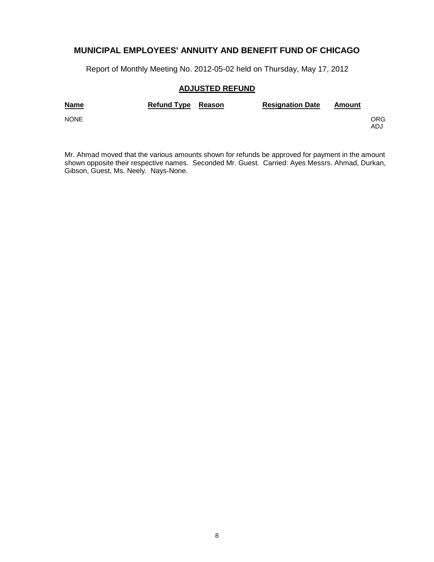Report of Monthly Meeting No. 2012-05-02 held on Thursday, May 17, 2012

#### **ADJUSTED REFUND**

| <b>Name</b> | Refund Type Reason | <b>Resignation Date</b> | Amount |            |
|-------------|--------------------|-------------------------|--------|------------|
| <b>NONE</b> |                    |                         |        | ORG<br>ADJ |

Mr. Ahmad moved that the various amounts shown for refunds be approved for payment in the amount shown opposite their respective names. Seconded Mr. Guest. Carried: Ayes Messrs. Ahmad, Durkan, Gibson, Guest, Ms. Neely. Nays-None.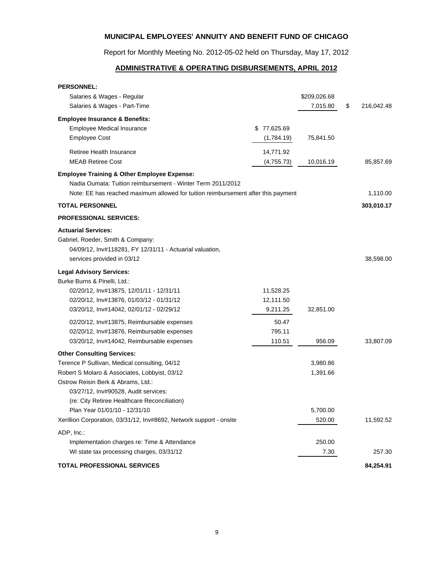Report for Monthly Meeting No. 2012-05-02 held on Thursday, May 17, 2012

# **ADMINISTRATIVE & OPERATING DISBURSEMENTS, APRIL 2012**

| <b>PERSONNEL:</b>                                                                                                                                         |             |              |                  |
|-----------------------------------------------------------------------------------------------------------------------------------------------------------|-------------|--------------|------------------|
| Salaries & Wages - Regular                                                                                                                                |             | \$209,026.68 |                  |
| Salaries & Wages - Part-Time                                                                                                                              |             | 7,015.80     | \$<br>216,042.48 |
| <b>Employee Insurance &amp; Benefits:</b>                                                                                                                 |             |              |                  |
| <b>Employee Medical Insurance</b>                                                                                                                         | \$77,625.69 |              |                  |
| <b>Employee Cost</b>                                                                                                                                      | (1,784.19)  | 75,841.50    |                  |
| Retiree Health Insurance                                                                                                                                  | 14,771.92   |              |                  |
| <b>MEAB Retiree Cost</b>                                                                                                                                  | (4,755.73)  | 10,016.19    | 85,857.69        |
| <b>Employee Training &amp; Other Employee Expense:</b>                                                                                                    |             |              |                  |
| Nadia Oumata: Tuition reimbursement - Winter Term 2011/2012                                                                                               |             |              |                  |
| Note: EE has reached maximum allowed for tuition reimbursement after this payment                                                                         |             |              | 1,110.00         |
| <b>TOTAL PERSONNEL</b>                                                                                                                                    |             |              | 303,010.17       |
| <b>PROFESSIONAL SERVICES:</b>                                                                                                                             |             |              |                  |
| <b>Actuarial Services:</b><br>Gabriel, Roeder, Smith & Company:<br>04/09/12, Inv#118281, FY 12/31/11 - Actuarial valuation,<br>services provided in 03/12 |             |              | 38,598.00        |
|                                                                                                                                                           |             |              |                  |
| <b>Legal Advisory Services:</b>                                                                                                                           |             |              |                  |
| Burke Burns & Pinelli, Ltd.:<br>02/20/12, Inv#13875, 12/01/11 - 12/31/11                                                                                  | 11,528.25   |              |                  |
| 02/20/12, Inv#13876, 01/03/12 - 01/31/12                                                                                                                  | 12,111.50   |              |                  |
| 03/20/12, Inv#14042, 02/01/12 - 02/29/12                                                                                                                  | 9,211.25    | 32,851.00    |                  |
| 02/20/12, Inv#13875, Reimbursable expenses                                                                                                                | 50.47       |              |                  |
| 02/20/12, Inv#13876, Reimbursable expenses                                                                                                                | 795.11      |              |                  |
| 03/20/12, Inv#14042, Reimbursable expenses                                                                                                                | 110.51      | 956.09       | 33,807.09        |
| <b>Other Consulting Services:</b>                                                                                                                         |             |              |                  |
| Terence P Sullivan, Medical consulting, 04/12                                                                                                             |             | 3,980.86     |                  |
| Robert S Molaro & Associates, Lobbyist, 03/12                                                                                                             |             | 1,391.66     |                  |
| Ostrow Reisin Berk & Abrams, Ltd.:                                                                                                                        |             |              |                  |
| 03/27/12, Inv#90528, Audit services:                                                                                                                      |             |              |                  |
| (re: City Retiree Healthcare Reconciliation)                                                                                                              |             |              |                  |
| Plan Year 01/01/10 - 12/31/10                                                                                                                             |             | 5,700.00     |                  |
| Xerillion Corporation, 03/31/12, Inv#8692, Network support - onsite                                                                                       |             | 520.00       | 11,592.52        |
| ADP, Inc.:                                                                                                                                                |             |              |                  |
| Implementation charges re: Time & Attendance                                                                                                              |             | 250.00       |                  |
| WI state tax processing charges, 03/31/12                                                                                                                 |             | 7.30         | 257.30           |
| TOTAL PROFESSIONAL SERVICES                                                                                                                               |             |              | 84,254.91        |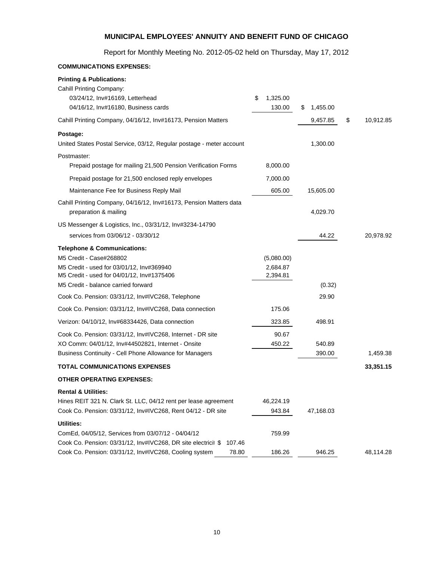Report for Monthly Meeting No. 2012-05-02 held on Thursday, May 17, 2012

# **COMMUNICATIONS EXPENSES: Printing & Publications:** Cahill Printing Company: 03/24/12, Inv#16169, Letterhead \$ 1,325.00 04/16/12, Inv#16180, Business cards 130.00 \$ 1,455.00 Cahill Printing Company, 04/16/12, Inv#16173, Pension Matters 6 10,912.85 \$ 10,912.85 **Postage:** United States Postal Service, 03/12, Regular postage - meter account 1,300.00 Postmaster: Prepaid postage for mailing 21,500 Pension Verification Forms 8,000.00 Prepaid postage for 21,500 enclosed reply envelopes 7,000.00 Maintenance Fee for Business Reply Mail 605.00 15,605.00 Cahill Printing Company, 04/16/12, Inv#16173, Pension Matters data preparation & mailing 4,029.70 US Messenger & Logistics, Inc., 03/31/12, Inv#3234-14790 services from 03/06/12 - 03/30/12 20.978.92 20,978.92 **Telephone & Communications:** M5 Credit - Case#268802 (5,080.00) M5 Credit - used for 03/01/12, Inv#369940 2,684.87 M5 Credit - used for 04/01/12, Inv#1375406 2,394.81 M5 Credit - balance carried forward (0.32) Cook Co. Pension: 03/31/12, Inv#IVC268, Telephone 29.90 Cook Co. Pension: 03/31/12, Inv#IVC268, Data connection 175.06 Verizon: 04/10/12, Inv#68334426, Data connection 323.85 498.91 Cook Co. Pension: 03/31/12, Inv#IVC268, Internet - DR site 90.67 XO Comm: 04/01/12, Inv#44502821, Internet - Onsite 450.22 450.22 540.89 Business Continuity - Cell Phone Allowance for Managers 390.00 1,459.38 **TOTAL COMMUNICATIONS EXPENSES 33,351.15 OTHER OPERATING EXPENSES: Rental & Utilities:** Hines REIT 321 N. Clark St. LLC, 04/12 rent per lease agreement 46,224.19 Cook Co. Pension: 03/31/12, Inv#IVC268, Rent 04/12 - DR site 943.84 47,168.03 **Utilities:** ComEd, 04/05/12, Services from 03/07/12 - 04/04/12 759.99 Cook Co. Pension: 03/31/12, Inv#IVC268, DR site electricit \$ 107.46 Cook Co. Pension: 03/31/12, Inv#IVC268, Cooling system 78.80 186.26 946.25 48,114.28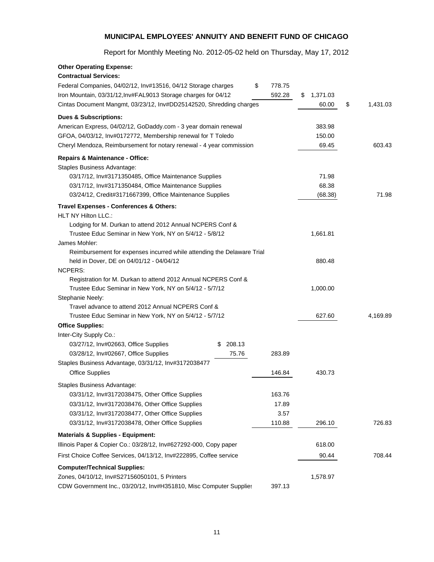Report for Monthly Meeting No. 2012-05-02 held on Thursday, May 17, 2012

| <b>Other Operating Expense:</b>                                        |             |              |                |                |
|------------------------------------------------------------------------|-------------|--------------|----------------|----------------|
| <b>Contractual Services:</b>                                           |             |              |                |                |
| Federal Companies, 04/02/12, Inv#13516, 04/12 Storage charges          |             | \$<br>778.75 |                |                |
| Iron Mountain, 03/31/12, Inv#FAL9013 Storage charges for 04/12         |             | 592.28       | 1,371.03<br>\$ |                |
| Cintas Document Mangmt, 03/23/12, Inv#DD25142520, Shredding charges    |             |              | 60.00          | \$<br>1,431.03 |
| <b>Dues &amp; Subscriptions:</b>                                       |             |              |                |                |
| American Express, 04/02/12, GoDaddy.com - 3 year domain renewal        |             |              | 383.98         |                |
| GFOA, 04/03/12, Inv#0172772, Membership renewal for T Toledo           |             |              | 150.00         |                |
| Cheryl Mendoza, Reimbursement for notary renewal - 4 year commission   |             |              | 69.45          | 603.43         |
| Repairs & Maintenance - Office:                                        |             |              |                |                |
| Staples Business Advantage:                                            |             |              |                |                |
| 03/17/12, Inv#3171350485, Office Maintenance Supplies                  |             |              | 71.98          |                |
| 03/17/12, Inv#3171350484, Office Maintenance Supplies                  |             |              | 68.38          |                |
| 03/24/12, Credit#3171667399, Office Maintenance Supplies               |             |              | (68.38)        | 71.98          |
| Travel Expenses - Conferences & Others:                                |             |              |                |                |
| <b>HLT NY Hilton LLC.:</b>                                             |             |              |                |                |
| Lodging for M. Durkan to attend 2012 Annual NCPERS Conf &              |             |              |                |                |
| Trustee Educ Seminar in New York, NY on 5/4/12 - 5/8/12                |             |              | 1,661.81       |                |
| James Mohler:                                                          |             |              |                |                |
| Reimbursement for expenses incurred while attending the Delaware Trial |             |              |                |                |
| held in Dover, DE on 04/01/12 - 04/04/12                               |             |              | 880.48         |                |
| <b>NCPERS:</b>                                                         |             |              |                |                |
| Registration for M. Durkan to attend 2012 Annual NCPERS Conf &         |             |              |                |                |
| Trustee Educ Seminar in New York, NY on 5/4/12 - 5/7/12                |             |              | 1,000.00       |                |
| Stephanie Neely:                                                       |             |              |                |                |
| Travel advance to attend 2012 Annual NCPERS Conf &                     |             |              |                |                |
| Trustee Educ Seminar in New York, NY on 5/4/12 - 5/7/12                |             |              | 627.60         | 4,169.89       |
| <b>Office Supplies:</b>                                                |             |              |                |                |
| Inter-City Supply Co.:                                                 |             |              |                |                |
| 03/27/12, Inv#02663, Office Supplies                                   | 208.13<br>S |              |                |                |
| 03/28/12, Inv#02667, Office Supplies                                   | 75.76       | 283.89       |                |                |
| Staples Business Advantage, 03/31/12, Inv#3172038477                   |             |              |                |                |
| <b>Office Supplies</b>                                                 |             | 146.84       | 430.73         |                |
| Staples Business Advantage:                                            |             |              |                |                |
| 03/31/12, Inv#3172038475, Other Office Supplies                        |             | 163.76       |                |                |
| 03/31/12, Inv#3172038476, Other Office Supplies                        |             | 17.89        |                |                |
| 03/31/12, Inv#3172038477, Other Office Supplies                        |             | 3.57         |                |                |
| 03/31/12, Inv#3172038478, Other Office Supplies                        |             | 110.88       | 296.10         | 726.83         |
| <b>Materials &amp; Supplies - Equipment:</b>                           |             |              |                |                |
| Illinois Paper & Copier Co.: 03/28/12, Inv#627292-000, Copy paper      |             |              | 618.00         |                |
| First Choice Coffee Services, 04/13/12, Inv#222895, Coffee service     |             |              | 90.44          | 708.44         |
| <b>Computer/Technical Supplies:</b>                                    |             |              |                |                |
| Zones, 04/10/12, Inv#S27156050101, 5 Printers                          |             |              | 1,578.97       |                |
| CDW Government Inc., 03/20/12, Inv#H351810, Misc Computer Supplies     |             | 397.13       |                |                |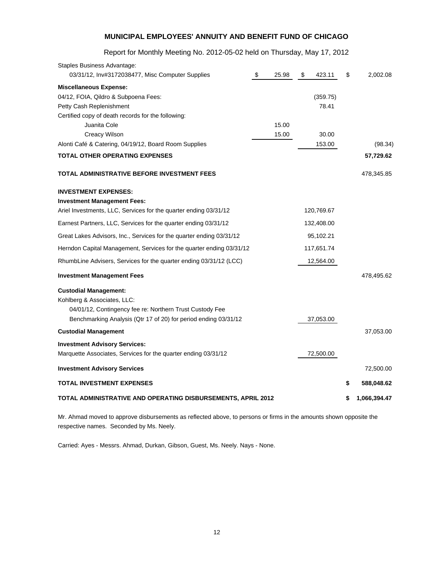# Report for Monthly Meeting No. 2012-05-02 held on Thursday, May 17, 2012

| \$                                                                   | 25.98 | S                                                            | 423.11   | \$                                                                                         | 2,002.08     |
|----------------------------------------------------------------------|-------|--------------------------------------------------------------|----------|--------------------------------------------------------------------------------------------|--------------|
|                                                                      |       |                                                              |          |                                                                                            |              |
|                                                                      |       |                                                              | (359.75) |                                                                                            |              |
|                                                                      |       |                                                              | 78.41    |                                                                                            |              |
|                                                                      |       |                                                              |          |                                                                                            |              |
|                                                                      | 15.00 |                                                              |          |                                                                                            |              |
|                                                                      | 15.00 |                                                              | 30.00    |                                                                                            |              |
|                                                                      |       |                                                              | 153.00   |                                                                                            | (98.34)      |
|                                                                      |       |                                                              |          |                                                                                            | 57,729.62    |
|                                                                      |       |                                                              |          |                                                                                            | 478,345.85   |
|                                                                      |       |                                                              |          |                                                                                            |              |
|                                                                      |       |                                                              |          |                                                                                            |              |
|                                                                      |       |                                                              |          |                                                                                            |              |
|                                                                      |       |                                                              |          |                                                                                            |              |
|                                                                      |       |                                                              |          |                                                                                            |              |
|                                                                      |       |                                                              |          |                                                                                            |              |
|                                                                      |       |                                                              |          |                                                                                            |              |
|                                                                      |       |                                                              |          |                                                                                            | 478,495.62   |
|                                                                      |       |                                                              |          |                                                                                            |              |
|                                                                      |       |                                                              |          |                                                                                            |              |
|                                                                      |       |                                                              |          |                                                                                            |              |
|                                                                      |       |                                                              |          |                                                                                            |              |
|                                                                      |       |                                                              |          |                                                                                            | 37,053.00    |
|                                                                      |       |                                                              |          |                                                                                            |              |
|                                                                      |       |                                                              |          |                                                                                            |              |
|                                                                      |       |                                                              |          |                                                                                            | 72,500.00    |
|                                                                      |       |                                                              |          | \$                                                                                         | 588,048.62   |
|                                                                      |       |                                                              |          | S                                                                                          | 1,066,394.47 |
| Herndon Capital Management, Services for the quarter ending 03/31/12 |       | TOTAL ADMINISTRATIVE AND OPERATING DISBURSEMENTS, APRIL 2012 |          | 120,769.67<br>132,408.00<br>95,102.21<br>117,651.74<br>12,564.00<br>37,053.00<br>72,500.00 |              |

Mr. Ahmad moved to approve disbursements as reflected above, to persons or firms in the amounts shown opposite the respective names. Seconded by Ms. Neely.

Carried: Ayes - Messrs. Ahmad, Durkan, Gibson, Guest, Ms. Neely. Nays - None.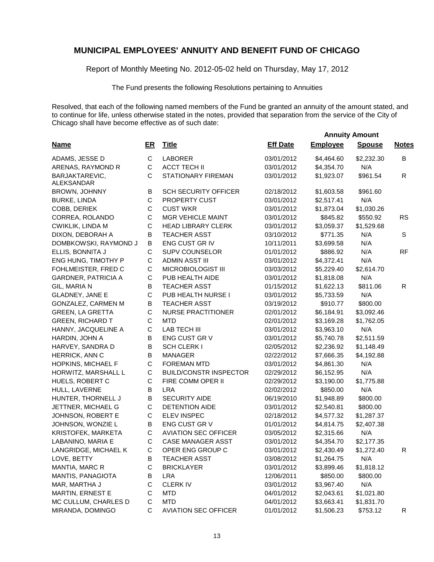Report of Monthly Meeting No. 2012-05-02 held on Thursday, May 17, 2012

The Fund presents the following Resolutions pertaining to Annuities

Resolved, that each of the following named members of the Fund be granted an annuity of the amount stated, and to continue for life, unless otherwise stated in the notes, provided that separation from the service of the City of Chicago shall have become effective as of such date:

 **Annuity Amount**

| C<br><b>LABORER</b><br>03/01/2012<br>\$4,464.60<br>B<br>ADAMS, JESSE D<br>\$2,232.30<br>$\mathsf C$<br>N/A<br>ARENAS, RAYMOND R<br><b>ACCT TECH II</b><br>03/01/2012<br>\$4,354.70<br>C<br>BARJAKTAREVIC,<br>STATIONARY FIREMAN<br>03/01/2012<br>\$1,923.07<br>\$961.54<br>R<br>ALEKSANDAR<br>B<br><b>SCH SECURITY OFFICER</b><br>02/18/2012<br>\$1,603.58<br>\$961.60<br><b>BROWN, JOHNNY</b><br>C<br>PROPERTY CUST<br>03/01/2012<br>\$2,517.41<br>N/A<br><b>BURKE, LINDA</b><br>C<br>COBB, DERIEK<br><b>CUST WKR</b><br>03/01/2012<br>\$1,873.04<br>\$1,030.26<br>С<br><b>RS</b><br><b>MGR VEHICLE MAINT</b><br>03/01/2012<br>\$845.82<br>\$550.92<br>CORREA, ROLANDO<br>C<br>CWIKLIK, LINDA M<br><b>HEAD LIBRARY CLERK</b><br>03/01/2012<br>\$3,059.37<br>\$1,529.68<br>B<br>N/A<br>S<br>DIXON, DEBORAH A<br><b>TEACHER ASST</b><br>03/10/2012<br>\$771.35<br>B<br>N/A<br>ENG CUST GR IV<br>10/11/2011<br>\$3,699.58<br>DOMBKOWSKI, RAYMOND J<br>C<br>N/A<br><b>RF</b><br>ELLIS, BONNITA J<br><b>SUPV COUNSELOR</b><br>01/01/2012<br>\$886.92<br>$\mathsf C$<br>N/A<br>ENG HUNG, TIMOTHY P<br><b>ADMIN ASST III</b><br>03/01/2012<br>\$4,372.41<br>$\mathsf C$<br>FOHLMEISTER, FRED C<br>MICROBIOLOGIST III<br>\$5,229.40<br>\$2,614.70<br>03/03/2012<br>$\mathsf C$<br><b>GARDNER, PATRICIA A</b><br>PUB HEALTH AIDE<br>03/01/2012<br>\$1,818.08<br>N/A<br>B<br>GIL, MARIA N<br><b>TEACHER ASST</b><br>01/15/2012<br>\$1,622.13<br>\$811.06<br>R.<br>C<br>N/A<br><b>GLADNEY, JANE E</b><br>PUB HEALTH NURSE I<br>03/01/2012<br>\$5,733.59<br>В<br>\$910.77<br>GONZALEZ, CARMEN M<br><b>TEACHER ASST</b><br>\$800.00<br>03/19/2012<br>$\mathsf C$<br><b>GREEN, LA GRETTA</b><br><b>NURSE PRACTITIONER</b><br>\$6,184.91<br>\$3,092.46<br>02/01/2012<br>$\mathsf C$<br><b>MTD</b><br>\$3,169.28<br><b>GREEN, RICHARD T</b><br>02/01/2012<br>\$1,762.05<br>C<br><b>LAB TECH III</b><br>N/A<br>HANNY, JACQUELINE A<br>\$3,963.10<br>03/01/2012<br>B<br>HARDIN, JOHN A<br>ENG CUST GR V<br>\$5,740.78<br>\$2,511.59<br>03/01/2012<br>B<br><b>SCH CLERK I</b><br>\$2,236.92<br>\$1,148.49<br>HARVEY, SANDRA D<br>02/05/2012<br>B<br>HERRICK, ANN C<br><b>MANAGER</b><br>\$7,666.35<br>\$4,192.88<br>02/22/2012<br>$\mathsf C$<br>N/A<br>HOPKINS, MICHAEL F<br><b>FOREMAN MTD</b><br>\$4,861.30<br>03/01/2012<br>C<br>N/A<br><b>BUILD/CONSTR INSPECTOR</b><br>\$6,152.95<br>HORWITZ, MARSHALL L<br>02/29/2012<br>C<br>FIRE COMM OPER II<br>HUELS, ROBERT C<br>02/29/2012<br>\$3,190.00<br>\$1,775.88<br>B<br><b>LRA</b><br>\$850.00<br>N/A<br>HULL, LAVERNE<br>02/02/2012<br>$\sf B$<br><b>SECURITY AIDE</b><br>06/19/2010<br>\$1,948.89<br>\$800.00<br>HUNTER, THORNELL J<br>С<br><b>DETENTION AIDE</b><br>03/01/2012<br>\$800.00<br>JETTNER, MICHAEL G<br>\$2,540.81<br>С<br><b>ELEV INSPEC</b><br>02/18/2012<br>\$4,577.32<br>JOHNSON, ROBERT E<br>\$1,287.37<br>B<br>ENG CUST GR V<br>JOHNSON, WONZIE L<br>01/01/2012<br>\$4,814.75<br>\$2,407.38<br>С<br>KRISTOFEK, MARKETA<br><b>AVIATION SEC OFFICER</b><br>03/05/2012<br>\$2,315.66<br>N/A<br>С<br><b>CASE MANAGER ASST</b><br>\$2,177.35<br>LABANINO, MARIA E<br>03/01/2012<br>\$4,354.70<br>C<br>OPER ENG GROUP C<br>LANGRIDGE, MICHAEL K<br>03/01/2012<br>\$2,430.49<br>R<br>\$1,272.40<br>LOVE, BETTY<br>В<br>TEACHER ASST<br>03/08/2012<br>\$1,264.75<br>N/A<br>С<br>MANTIA, MARC R<br><b>BRICKLAYER</b><br>03/01/2012<br>\$3,899.46<br>\$1,818.12<br>MANTIS, PANAGIOTA<br>B<br><b>LRA</b><br>\$850.00<br>12/06/2011<br>\$800.00<br>С<br><b>CLERKIV</b><br>N/A<br>MAR, MARTHA J<br>03/01/2012<br>\$3,967.40<br>C<br>MARTIN, ERNEST E<br><b>MTD</b><br>04/01/2012<br>\$2,043.61<br>\$1,021.80<br>C<br>MC CULLUM, CHARLES D<br><b>MTD</b><br>04/01/2012<br>\$3,663.41<br>\$1,831.70 | <b>Name</b>      | $E$ R | <b>Title</b>                | <b>Eff Date</b> | <b>Employee</b> | <b>Spouse</b> | <b>Notes</b> |
|---------------------------------------------------------------------------------------------------------------------------------------------------------------------------------------------------------------------------------------------------------------------------------------------------------------------------------------------------------------------------------------------------------------------------------------------------------------------------------------------------------------------------------------------------------------------------------------------------------------------------------------------------------------------------------------------------------------------------------------------------------------------------------------------------------------------------------------------------------------------------------------------------------------------------------------------------------------------------------------------------------------------------------------------------------------------------------------------------------------------------------------------------------------------------------------------------------------------------------------------------------------------------------------------------------------------------------------------------------------------------------------------------------------------------------------------------------------------------------------------------------------------------------------------------------------------------------------------------------------------------------------------------------------------------------------------------------------------------------------------------------------------------------------------------------------------------------------------------------------------------------------------------------------------------------------------------------------------------------------------------------------------------------------------------------------------------------------------------------------------------------------------------------------------------------------------------------------------------------------------------------------------------------------------------------------------------------------------------------------------------------------------------------------------------------------------------------------------------------------------------------------------------------------------------------------------------------------------------------------------------------------------------------------------------------------------------------------------------------------------------------------------------------------------------------------------------------------------------------------------------------------------------------------------------------------------------------------------------------------------------------------------------------------------------------------------------------------------------------------------------------------------------------------------------------------------------------------------------------------------------------------------------------------------------------------------------------------------------------------------------------------------------------------------------------------------------------------------------------------------------------------------------------------------------------------------------------------------------------------------------------------------------------------------------------------------------------------------------------------------|------------------|-------|-----------------------------|-----------------|-----------------|---------------|--------------|
|                                                                                                                                                                                                                                                                                                                                                                                                                                                                                                                                                                                                                                                                                                                                                                                                                                                                                                                                                                                                                                                                                                                                                                                                                                                                                                                                                                                                                                                                                                                                                                                                                                                                                                                                                                                                                                                                                                                                                                                                                                                                                                                                                                                                                                                                                                                                                                                                                                                                                                                                                                                                                                                                                                                                                                                                                                                                                                                                                                                                                                                                                                                                                                                                                                                                                                                                                                                                                                                                                                                                                                                                                                                                                                                                             |                  |       |                             |                 |                 |               |              |
|                                                                                                                                                                                                                                                                                                                                                                                                                                                                                                                                                                                                                                                                                                                                                                                                                                                                                                                                                                                                                                                                                                                                                                                                                                                                                                                                                                                                                                                                                                                                                                                                                                                                                                                                                                                                                                                                                                                                                                                                                                                                                                                                                                                                                                                                                                                                                                                                                                                                                                                                                                                                                                                                                                                                                                                                                                                                                                                                                                                                                                                                                                                                                                                                                                                                                                                                                                                                                                                                                                                                                                                                                                                                                                                                             |                  |       |                             |                 |                 |               |              |
|                                                                                                                                                                                                                                                                                                                                                                                                                                                                                                                                                                                                                                                                                                                                                                                                                                                                                                                                                                                                                                                                                                                                                                                                                                                                                                                                                                                                                                                                                                                                                                                                                                                                                                                                                                                                                                                                                                                                                                                                                                                                                                                                                                                                                                                                                                                                                                                                                                                                                                                                                                                                                                                                                                                                                                                                                                                                                                                                                                                                                                                                                                                                                                                                                                                                                                                                                                                                                                                                                                                                                                                                                                                                                                                                             |                  |       |                             |                 |                 |               |              |
|                                                                                                                                                                                                                                                                                                                                                                                                                                                                                                                                                                                                                                                                                                                                                                                                                                                                                                                                                                                                                                                                                                                                                                                                                                                                                                                                                                                                                                                                                                                                                                                                                                                                                                                                                                                                                                                                                                                                                                                                                                                                                                                                                                                                                                                                                                                                                                                                                                                                                                                                                                                                                                                                                                                                                                                                                                                                                                                                                                                                                                                                                                                                                                                                                                                                                                                                                                                                                                                                                                                                                                                                                                                                                                                                             |                  |       |                             |                 |                 |               |              |
|                                                                                                                                                                                                                                                                                                                                                                                                                                                                                                                                                                                                                                                                                                                                                                                                                                                                                                                                                                                                                                                                                                                                                                                                                                                                                                                                                                                                                                                                                                                                                                                                                                                                                                                                                                                                                                                                                                                                                                                                                                                                                                                                                                                                                                                                                                                                                                                                                                                                                                                                                                                                                                                                                                                                                                                                                                                                                                                                                                                                                                                                                                                                                                                                                                                                                                                                                                                                                                                                                                                                                                                                                                                                                                                                             |                  |       |                             |                 |                 |               |              |
|                                                                                                                                                                                                                                                                                                                                                                                                                                                                                                                                                                                                                                                                                                                                                                                                                                                                                                                                                                                                                                                                                                                                                                                                                                                                                                                                                                                                                                                                                                                                                                                                                                                                                                                                                                                                                                                                                                                                                                                                                                                                                                                                                                                                                                                                                                                                                                                                                                                                                                                                                                                                                                                                                                                                                                                                                                                                                                                                                                                                                                                                                                                                                                                                                                                                                                                                                                                                                                                                                                                                                                                                                                                                                                                                             |                  |       |                             |                 |                 |               |              |
|                                                                                                                                                                                                                                                                                                                                                                                                                                                                                                                                                                                                                                                                                                                                                                                                                                                                                                                                                                                                                                                                                                                                                                                                                                                                                                                                                                                                                                                                                                                                                                                                                                                                                                                                                                                                                                                                                                                                                                                                                                                                                                                                                                                                                                                                                                                                                                                                                                                                                                                                                                                                                                                                                                                                                                                                                                                                                                                                                                                                                                                                                                                                                                                                                                                                                                                                                                                                                                                                                                                                                                                                                                                                                                                                             |                  |       |                             |                 |                 |               |              |
|                                                                                                                                                                                                                                                                                                                                                                                                                                                                                                                                                                                                                                                                                                                                                                                                                                                                                                                                                                                                                                                                                                                                                                                                                                                                                                                                                                                                                                                                                                                                                                                                                                                                                                                                                                                                                                                                                                                                                                                                                                                                                                                                                                                                                                                                                                                                                                                                                                                                                                                                                                                                                                                                                                                                                                                                                                                                                                                                                                                                                                                                                                                                                                                                                                                                                                                                                                                                                                                                                                                                                                                                                                                                                                                                             |                  |       |                             |                 |                 |               |              |
|                                                                                                                                                                                                                                                                                                                                                                                                                                                                                                                                                                                                                                                                                                                                                                                                                                                                                                                                                                                                                                                                                                                                                                                                                                                                                                                                                                                                                                                                                                                                                                                                                                                                                                                                                                                                                                                                                                                                                                                                                                                                                                                                                                                                                                                                                                                                                                                                                                                                                                                                                                                                                                                                                                                                                                                                                                                                                                                                                                                                                                                                                                                                                                                                                                                                                                                                                                                                                                                                                                                                                                                                                                                                                                                                             |                  |       |                             |                 |                 |               |              |
|                                                                                                                                                                                                                                                                                                                                                                                                                                                                                                                                                                                                                                                                                                                                                                                                                                                                                                                                                                                                                                                                                                                                                                                                                                                                                                                                                                                                                                                                                                                                                                                                                                                                                                                                                                                                                                                                                                                                                                                                                                                                                                                                                                                                                                                                                                                                                                                                                                                                                                                                                                                                                                                                                                                                                                                                                                                                                                                                                                                                                                                                                                                                                                                                                                                                                                                                                                                                                                                                                                                                                                                                                                                                                                                                             |                  |       |                             |                 |                 |               |              |
|                                                                                                                                                                                                                                                                                                                                                                                                                                                                                                                                                                                                                                                                                                                                                                                                                                                                                                                                                                                                                                                                                                                                                                                                                                                                                                                                                                                                                                                                                                                                                                                                                                                                                                                                                                                                                                                                                                                                                                                                                                                                                                                                                                                                                                                                                                                                                                                                                                                                                                                                                                                                                                                                                                                                                                                                                                                                                                                                                                                                                                                                                                                                                                                                                                                                                                                                                                                                                                                                                                                                                                                                                                                                                                                                             |                  |       |                             |                 |                 |               |              |
|                                                                                                                                                                                                                                                                                                                                                                                                                                                                                                                                                                                                                                                                                                                                                                                                                                                                                                                                                                                                                                                                                                                                                                                                                                                                                                                                                                                                                                                                                                                                                                                                                                                                                                                                                                                                                                                                                                                                                                                                                                                                                                                                                                                                                                                                                                                                                                                                                                                                                                                                                                                                                                                                                                                                                                                                                                                                                                                                                                                                                                                                                                                                                                                                                                                                                                                                                                                                                                                                                                                                                                                                                                                                                                                                             |                  |       |                             |                 |                 |               |              |
|                                                                                                                                                                                                                                                                                                                                                                                                                                                                                                                                                                                                                                                                                                                                                                                                                                                                                                                                                                                                                                                                                                                                                                                                                                                                                                                                                                                                                                                                                                                                                                                                                                                                                                                                                                                                                                                                                                                                                                                                                                                                                                                                                                                                                                                                                                                                                                                                                                                                                                                                                                                                                                                                                                                                                                                                                                                                                                                                                                                                                                                                                                                                                                                                                                                                                                                                                                                                                                                                                                                                                                                                                                                                                                                                             |                  |       |                             |                 |                 |               |              |
|                                                                                                                                                                                                                                                                                                                                                                                                                                                                                                                                                                                                                                                                                                                                                                                                                                                                                                                                                                                                                                                                                                                                                                                                                                                                                                                                                                                                                                                                                                                                                                                                                                                                                                                                                                                                                                                                                                                                                                                                                                                                                                                                                                                                                                                                                                                                                                                                                                                                                                                                                                                                                                                                                                                                                                                                                                                                                                                                                                                                                                                                                                                                                                                                                                                                                                                                                                                                                                                                                                                                                                                                                                                                                                                                             |                  |       |                             |                 |                 |               |              |
|                                                                                                                                                                                                                                                                                                                                                                                                                                                                                                                                                                                                                                                                                                                                                                                                                                                                                                                                                                                                                                                                                                                                                                                                                                                                                                                                                                                                                                                                                                                                                                                                                                                                                                                                                                                                                                                                                                                                                                                                                                                                                                                                                                                                                                                                                                                                                                                                                                                                                                                                                                                                                                                                                                                                                                                                                                                                                                                                                                                                                                                                                                                                                                                                                                                                                                                                                                                                                                                                                                                                                                                                                                                                                                                                             |                  |       |                             |                 |                 |               |              |
|                                                                                                                                                                                                                                                                                                                                                                                                                                                                                                                                                                                                                                                                                                                                                                                                                                                                                                                                                                                                                                                                                                                                                                                                                                                                                                                                                                                                                                                                                                                                                                                                                                                                                                                                                                                                                                                                                                                                                                                                                                                                                                                                                                                                                                                                                                                                                                                                                                                                                                                                                                                                                                                                                                                                                                                                                                                                                                                                                                                                                                                                                                                                                                                                                                                                                                                                                                                                                                                                                                                                                                                                                                                                                                                                             |                  |       |                             |                 |                 |               |              |
|                                                                                                                                                                                                                                                                                                                                                                                                                                                                                                                                                                                                                                                                                                                                                                                                                                                                                                                                                                                                                                                                                                                                                                                                                                                                                                                                                                                                                                                                                                                                                                                                                                                                                                                                                                                                                                                                                                                                                                                                                                                                                                                                                                                                                                                                                                                                                                                                                                                                                                                                                                                                                                                                                                                                                                                                                                                                                                                                                                                                                                                                                                                                                                                                                                                                                                                                                                                                                                                                                                                                                                                                                                                                                                                                             |                  |       |                             |                 |                 |               |              |
|                                                                                                                                                                                                                                                                                                                                                                                                                                                                                                                                                                                                                                                                                                                                                                                                                                                                                                                                                                                                                                                                                                                                                                                                                                                                                                                                                                                                                                                                                                                                                                                                                                                                                                                                                                                                                                                                                                                                                                                                                                                                                                                                                                                                                                                                                                                                                                                                                                                                                                                                                                                                                                                                                                                                                                                                                                                                                                                                                                                                                                                                                                                                                                                                                                                                                                                                                                                                                                                                                                                                                                                                                                                                                                                                             |                  |       |                             |                 |                 |               |              |
|                                                                                                                                                                                                                                                                                                                                                                                                                                                                                                                                                                                                                                                                                                                                                                                                                                                                                                                                                                                                                                                                                                                                                                                                                                                                                                                                                                                                                                                                                                                                                                                                                                                                                                                                                                                                                                                                                                                                                                                                                                                                                                                                                                                                                                                                                                                                                                                                                                                                                                                                                                                                                                                                                                                                                                                                                                                                                                                                                                                                                                                                                                                                                                                                                                                                                                                                                                                                                                                                                                                                                                                                                                                                                                                                             |                  |       |                             |                 |                 |               |              |
|                                                                                                                                                                                                                                                                                                                                                                                                                                                                                                                                                                                                                                                                                                                                                                                                                                                                                                                                                                                                                                                                                                                                                                                                                                                                                                                                                                                                                                                                                                                                                                                                                                                                                                                                                                                                                                                                                                                                                                                                                                                                                                                                                                                                                                                                                                                                                                                                                                                                                                                                                                                                                                                                                                                                                                                                                                                                                                                                                                                                                                                                                                                                                                                                                                                                                                                                                                                                                                                                                                                                                                                                                                                                                                                                             |                  |       |                             |                 |                 |               |              |
|                                                                                                                                                                                                                                                                                                                                                                                                                                                                                                                                                                                                                                                                                                                                                                                                                                                                                                                                                                                                                                                                                                                                                                                                                                                                                                                                                                                                                                                                                                                                                                                                                                                                                                                                                                                                                                                                                                                                                                                                                                                                                                                                                                                                                                                                                                                                                                                                                                                                                                                                                                                                                                                                                                                                                                                                                                                                                                                                                                                                                                                                                                                                                                                                                                                                                                                                                                                                                                                                                                                                                                                                                                                                                                                                             |                  |       |                             |                 |                 |               |              |
|                                                                                                                                                                                                                                                                                                                                                                                                                                                                                                                                                                                                                                                                                                                                                                                                                                                                                                                                                                                                                                                                                                                                                                                                                                                                                                                                                                                                                                                                                                                                                                                                                                                                                                                                                                                                                                                                                                                                                                                                                                                                                                                                                                                                                                                                                                                                                                                                                                                                                                                                                                                                                                                                                                                                                                                                                                                                                                                                                                                                                                                                                                                                                                                                                                                                                                                                                                                                                                                                                                                                                                                                                                                                                                                                             |                  |       |                             |                 |                 |               |              |
|                                                                                                                                                                                                                                                                                                                                                                                                                                                                                                                                                                                                                                                                                                                                                                                                                                                                                                                                                                                                                                                                                                                                                                                                                                                                                                                                                                                                                                                                                                                                                                                                                                                                                                                                                                                                                                                                                                                                                                                                                                                                                                                                                                                                                                                                                                                                                                                                                                                                                                                                                                                                                                                                                                                                                                                                                                                                                                                                                                                                                                                                                                                                                                                                                                                                                                                                                                                                                                                                                                                                                                                                                                                                                                                                             |                  |       |                             |                 |                 |               |              |
|                                                                                                                                                                                                                                                                                                                                                                                                                                                                                                                                                                                                                                                                                                                                                                                                                                                                                                                                                                                                                                                                                                                                                                                                                                                                                                                                                                                                                                                                                                                                                                                                                                                                                                                                                                                                                                                                                                                                                                                                                                                                                                                                                                                                                                                                                                                                                                                                                                                                                                                                                                                                                                                                                                                                                                                                                                                                                                                                                                                                                                                                                                                                                                                                                                                                                                                                                                                                                                                                                                                                                                                                                                                                                                                                             |                  |       |                             |                 |                 |               |              |
|                                                                                                                                                                                                                                                                                                                                                                                                                                                                                                                                                                                                                                                                                                                                                                                                                                                                                                                                                                                                                                                                                                                                                                                                                                                                                                                                                                                                                                                                                                                                                                                                                                                                                                                                                                                                                                                                                                                                                                                                                                                                                                                                                                                                                                                                                                                                                                                                                                                                                                                                                                                                                                                                                                                                                                                                                                                                                                                                                                                                                                                                                                                                                                                                                                                                                                                                                                                                                                                                                                                                                                                                                                                                                                                                             |                  |       |                             |                 |                 |               |              |
|                                                                                                                                                                                                                                                                                                                                                                                                                                                                                                                                                                                                                                                                                                                                                                                                                                                                                                                                                                                                                                                                                                                                                                                                                                                                                                                                                                                                                                                                                                                                                                                                                                                                                                                                                                                                                                                                                                                                                                                                                                                                                                                                                                                                                                                                                                                                                                                                                                                                                                                                                                                                                                                                                                                                                                                                                                                                                                                                                                                                                                                                                                                                                                                                                                                                                                                                                                                                                                                                                                                                                                                                                                                                                                                                             |                  |       |                             |                 |                 |               |              |
|                                                                                                                                                                                                                                                                                                                                                                                                                                                                                                                                                                                                                                                                                                                                                                                                                                                                                                                                                                                                                                                                                                                                                                                                                                                                                                                                                                                                                                                                                                                                                                                                                                                                                                                                                                                                                                                                                                                                                                                                                                                                                                                                                                                                                                                                                                                                                                                                                                                                                                                                                                                                                                                                                                                                                                                                                                                                                                                                                                                                                                                                                                                                                                                                                                                                                                                                                                                                                                                                                                                                                                                                                                                                                                                                             |                  |       |                             |                 |                 |               |              |
|                                                                                                                                                                                                                                                                                                                                                                                                                                                                                                                                                                                                                                                                                                                                                                                                                                                                                                                                                                                                                                                                                                                                                                                                                                                                                                                                                                                                                                                                                                                                                                                                                                                                                                                                                                                                                                                                                                                                                                                                                                                                                                                                                                                                                                                                                                                                                                                                                                                                                                                                                                                                                                                                                                                                                                                                                                                                                                                                                                                                                                                                                                                                                                                                                                                                                                                                                                                                                                                                                                                                                                                                                                                                                                                                             |                  |       |                             |                 |                 |               |              |
|                                                                                                                                                                                                                                                                                                                                                                                                                                                                                                                                                                                                                                                                                                                                                                                                                                                                                                                                                                                                                                                                                                                                                                                                                                                                                                                                                                                                                                                                                                                                                                                                                                                                                                                                                                                                                                                                                                                                                                                                                                                                                                                                                                                                                                                                                                                                                                                                                                                                                                                                                                                                                                                                                                                                                                                                                                                                                                                                                                                                                                                                                                                                                                                                                                                                                                                                                                                                                                                                                                                                                                                                                                                                                                                                             |                  |       |                             |                 |                 |               |              |
|                                                                                                                                                                                                                                                                                                                                                                                                                                                                                                                                                                                                                                                                                                                                                                                                                                                                                                                                                                                                                                                                                                                                                                                                                                                                                                                                                                                                                                                                                                                                                                                                                                                                                                                                                                                                                                                                                                                                                                                                                                                                                                                                                                                                                                                                                                                                                                                                                                                                                                                                                                                                                                                                                                                                                                                                                                                                                                                                                                                                                                                                                                                                                                                                                                                                                                                                                                                                                                                                                                                                                                                                                                                                                                                                             |                  |       |                             |                 |                 |               |              |
|                                                                                                                                                                                                                                                                                                                                                                                                                                                                                                                                                                                                                                                                                                                                                                                                                                                                                                                                                                                                                                                                                                                                                                                                                                                                                                                                                                                                                                                                                                                                                                                                                                                                                                                                                                                                                                                                                                                                                                                                                                                                                                                                                                                                                                                                                                                                                                                                                                                                                                                                                                                                                                                                                                                                                                                                                                                                                                                                                                                                                                                                                                                                                                                                                                                                                                                                                                                                                                                                                                                                                                                                                                                                                                                                             |                  |       |                             |                 |                 |               |              |
|                                                                                                                                                                                                                                                                                                                                                                                                                                                                                                                                                                                                                                                                                                                                                                                                                                                                                                                                                                                                                                                                                                                                                                                                                                                                                                                                                                                                                                                                                                                                                                                                                                                                                                                                                                                                                                                                                                                                                                                                                                                                                                                                                                                                                                                                                                                                                                                                                                                                                                                                                                                                                                                                                                                                                                                                                                                                                                                                                                                                                                                                                                                                                                                                                                                                                                                                                                                                                                                                                                                                                                                                                                                                                                                                             |                  |       |                             |                 |                 |               |              |
|                                                                                                                                                                                                                                                                                                                                                                                                                                                                                                                                                                                                                                                                                                                                                                                                                                                                                                                                                                                                                                                                                                                                                                                                                                                                                                                                                                                                                                                                                                                                                                                                                                                                                                                                                                                                                                                                                                                                                                                                                                                                                                                                                                                                                                                                                                                                                                                                                                                                                                                                                                                                                                                                                                                                                                                                                                                                                                                                                                                                                                                                                                                                                                                                                                                                                                                                                                                                                                                                                                                                                                                                                                                                                                                                             |                  |       |                             |                 |                 |               |              |
|                                                                                                                                                                                                                                                                                                                                                                                                                                                                                                                                                                                                                                                                                                                                                                                                                                                                                                                                                                                                                                                                                                                                                                                                                                                                                                                                                                                                                                                                                                                                                                                                                                                                                                                                                                                                                                                                                                                                                                                                                                                                                                                                                                                                                                                                                                                                                                                                                                                                                                                                                                                                                                                                                                                                                                                                                                                                                                                                                                                                                                                                                                                                                                                                                                                                                                                                                                                                                                                                                                                                                                                                                                                                                                                                             |                  |       |                             |                 |                 |               |              |
|                                                                                                                                                                                                                                                                                                                                                                                                                                                                                                                                                                                                                                                                                                                                                                                                                                                                                                                                                                                                                                                                                                                                                                                                                                                                                                                                                                                                                                                                                                                                                                                                                                                                                                                                                                                                                                                                                                                                                                                                                                                                                                                                                                                                                                                                                                                                                                                                                                                                                                                                                                                                                                                                                                                                                                                                                                                                                                                                                                                                                                                                                                                                                                                                                                                                                                                                                                                                                                                                                                                                                                                                                                                                                                                                             |                  |       |                             |                 |                 |               |              |
|                                                                                                                                                                                                                                                                                                                                                                                                                                                                                                                                                                                                                                                                                                                                                                                                                                                                                                                                                                                                                                                                                                                                                                                                                                                                                                                                                                                                                                                                                                                                                                                                                                                                                                                                                                                                                                                                                                                                                                                                                                                                                                                                                                                                                                                                                                                                                                                                                                                                                                                                                                                                                                                                                                                                                                                                                                                                                                                                                                                                                                                                                                                                                                                                                                                                                                                                                                                                                                                                                                                                                                                                                                                                                                                                             |                  |       |                             |                 |                 |               |              |
|                                                                                                                                                                                                                                                                                                                                                                                                                                                                                                                                                                                                                                                                                                                                                                                                                                                                                                                                                                                                                                                                                                                                                                                                                                                                                                                                                                                                                                                                                                                                                                                                                                                                                                                                                                                                                                                                                                                                                                                                                                                                                                                                                                                                                                                                                                                                                                                                                                                                                                                                                                                                                                                                                                                                                                                                                                                                                                                                                                                                                                                                                                                                                                                                                                                                                                                                                                                                                                                                                                                                                                                                                                                                                                                                             |                  |       |                             |                 |                 |               |              |
|                                                                                                                                                                                                                                                                                                                                                                                                                                                                                                                                                                                                                                                                                                                                                                                                                                                                                                                                                                                                                                                                                                                                                                                                                                                                                                                                                                                                                                                                                                                                                                                                                                                                                                                                                                                                                                                                                                                                                                                                                                                                                                                                                                                                                                                                                                                                                                                                                                                                                                                                                                                                                                                                                                                                                                                                                                                                                                                                                                                                                                                                                                                                                                                                                                                                                                                                                                                                                                                                                                                                                                                                                                                                                                                                             |                  |       |                             |                 |                 |               |              |
|                                                                                                                                                                                                                                                                                                                                                                                                                                                                                                                                                                                                                                                                                                                                                                                                                                                                                                                                                                                                                                                                                                                                                                                                                                                                                                                                                                                                                                                                                                                                                                                                                                                                                                                                                                                                                                                                                                                                                                                                                                                                                                                                                                                                                                                                                                                                                                                                                                                                                                                                                                                                                                                                                                                                                                                                                                                                                                                                                                                                                                                                                                                                                                                                                                                                                                                                                                                                                                                                                                                                                                                                                                                                                                                                             |                  |       |                             |                 |                 |               |              |
|                                                                                                                                                                                                                                                                                                                                                                                                                                                                                                                                                                                                                                                                                                                                                                                                                                                                                                                                                                                                                                                                                                                                                                                                                                                                                                                                                                                                                                                                                                                                                                                                                                                                                                                                                                                                                                                                                                                                                                                                                                                                                                                                                                                                                                                                                                                                                                                                                                                                                                                                                                                                                                                                                                                                                                                                                                                                                                                                                                                                                                                                                                                                                                                                                                                                                                                                                                                                                                                                                                                                                                                                                                                                                                                                             |                  |       |                             |                 |                 |               |              |
|                                                                                                                                                                                                                                                                                                                                                                                                                                                                                                                                                                                                                                                                                                                                                                                                                                                                                                                                                                                                                                                                                                                                                                                                                                                                                                                                                                                                                                                                                                                                                                                                                                                                                                                                                                                                                                                                                                                                                                                                                                                                                                                                                                                                                                                                                                                                                                                                                                                                                                                                                                                                                                                                                                                                                                                                                                                                                                                                                                                                                                                                                                                                                                                                                                                                                                                                                                                                                                                                                                                                                                                                                                                                                                                                             |                  |       |                             |                 |                 |               |              |
| R                                                                                                                                                                                                                                                                                                                                                                                                                                                                                                                                                                                                                                                                                                                                                                                                                                                                                                                                                                                                                                                                                                                                                                                                                                                                                                                                                                                                                                                                                                                                                                                                                                                                                                                                                                                                                                                                                                                                                                                                                                                                                                                                                                                                                                                                                                                                                                                                                                                                                                                                                                                                                                                                                                                                                                                                                                                                                                                                                                                                                                                                                                                                                                                                                                                                                                                                                                                                                                                                                                                                                                                                                                                                                                                                           | MIRANDA, DOMINGO | С     | <b>AVIATION SEC OFFICER</b> | 01/01/2012      | \$1,506.23      | \$753.12      |              |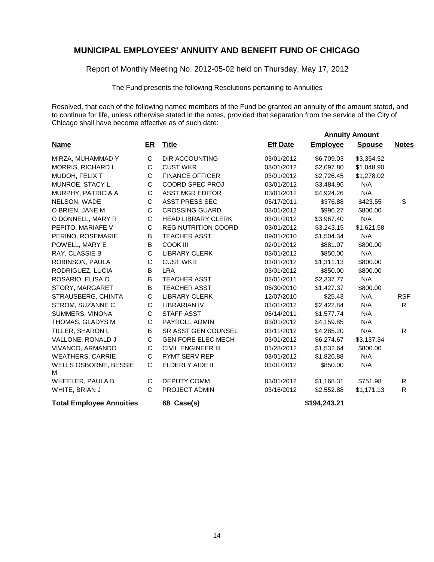Report of Monthly Meeting No. 2012-05-02 held on Thursday, May 17, 2012

The Fund presents the following Resolutions pertaining to Annuities

Resolved, that each of the following named members of the Fund be granted an annuity of the amount stated, and to continue for life, unless otherwise stated in the notes, provided that separation from the service of the City of Chicago shall have become effective as of such date:

|                                 |              |                            |                 |                 | <b>Annuity Amount</b> |              |
|---------------------------------|--------------|----------------------------|-----------------|-----------------|-----------------------|--------------|
| <b>Name</b>                     | ER           | <b>Title</b>               | <b>Eff Date</b> | <b>Employee</b> | <b>Spouse</b>         | <b>Notes</b> |
| MIRZA, MUHAMMAD Y               | C            | <b>DIR ACCOUNTING</b>      | 03/01/2012      | \$6,709.03      | \$3,354.52            |              |
| MORRIS, RICHARD L               | C            | <b>CUST WKR</b>            | 03/01/2012      | \$2,097.80      | \$1,048.90            |              |
| MUDOH, FELIX T                  | C            | <b>FINANCE OFFICER</b>     | 03/01/2012      | \$2,726.45      | \$1,278.02            |              |
| MUNROE, STACY L                 | $\mathsf C$  | COORD SPEC PROJ            | 03/01/2012      | \$3,484.96      | N/A                   |              |
| MURPHY, PATRICIA A              | $\mathsf C$  | <b>ASST MGR EDITOR</b>     | 03/01/2012      | \$4,924.26      | N/A                   |              |
| NELSON, WADE                    | $\mathsf{C}$ | <b>ASST PRESS SEC</b>      | 05/17/2011      | \$376.88        | \$423.55              | S            |
| O BRIEN, JANE M                 | $\mathsf C$  | <b>CROSSING GUARD</b>      | 03/01/2012      | \$996.27        | \$800.00              |              |
| O DONNELL, MARY R               | C            | <b>HEAD LIBRARY CLERK</b>  | 03/01/2012      | \$3,967.40      | N/A                   |              |
| PEPITO, MARIAFE V               | $\mathsf C$  | <b>REG NUTRITION COORD</b> | 03/01/2012      | \$3,243.15      | \$1,621.58            |              |
| PERINO, ROSEMARIE               | B            | <b>TEACHER ASST</b>        | 09/01/2010      | \$1,504.34      | N/A                   |              |
| POWELL, MARY E                  | $\sf B$      | <b>COOK III</b>            | 02/01/2012      | \$881.07        | \$800.00              |              |
| RAY, CLASSIE B                  | $\mathsf C$  | <b>LIBRARY CLERK</b>       | 03/01/2012      | \$850.00        | N/A                   |              |
| ROBINSON, PAULA                 | $\mathsf C$  | <b>CUST WKR</b>            | 03/01/2012      | \$1,311.13      | \$800.00              |              |
| RODRIGUEZ, LUCIA                | B            | <b>LRA</b>                 | 03/01/2012      | \$850.00        | \$800.00              |              |
| ROSARIO, ELISA O                | $\mathsf B$  | <b>TEACHER ASST</b>        | 02/01/2011      | \$2,337.77      | N/A                   |              |
| STORY, MARGARET                 | B            | <b>TEACHER ASST</b>        | 06/30/2010      | \$1,427.37      | \$800.00              |              |
| STRAUSBERG, CHINTA              | $\mathsf{C}$ | <b>LIBRARY CLERK</b>       | 12/07/2010      | \$25.43         | N/A                   | <b>RSF</b>   |
| STROM, SUZANNE C                | C            | <b>LIBRARIAN IV</b>        | 03/01/2012      | \$2,422.84      | N/A                   | $\mathsf{R}$ |
| SUMMERS, VINONA                 | C            | <b>STAFF ASST</b>          | 05/14/2011      | \$1,577.74      | N/A                   |              |
| THOMAS, GLADYS M                | $\mathsf C$  | PAYROLL ADMIN              | 03/01/2012      | \$4,159.85      | N/A                   |              |
| TILLER, SHARON L                | B            | SR ASST GEN COUNSEL        | 03/11/2012      | \$4,285.20      | N/A                   | R            |
| VALLONE, RONALD J               | C            | <b>GEN FORE ELEC MECH</b>  | 03/01/2012      | \$6,274.67      | \$3,137.34            |              |
| VIVANCO, ARMANDO                | $\mathsf C$  | <b>CIVIL ENGINEER III</b>  | 01/28/2012      | \$1,532.64      | \$800.00              |              |
| <b>WEATHERS, CARRIE</b>         | C            | PYMT SERV REP              | 03/01/2012      | \$1,826.88      | N/A                   |              |
| WELLS OSBORNE, BESSIE<br>м      | C            | ELDERLY AIDE II            | 03/01/2012      | \$850.00        | N/A                   |              |
| WHEELER, PAULA B                | C            | <b>DEPUTY COMM</b>         | 03/01/2012      | \$1,168.31      | \$751.98              | R            |
| WHITE, BRIAN J                  | C            | PROJECT ADMIN              | 03/16/2012      | \$2,552.88      | \$1,171.13            | $\mathsf{R}$ |
| <b>Total Employee Annuities</b> |              | 68 Case(s)                 |                 | \$194,243.21    |                       |              |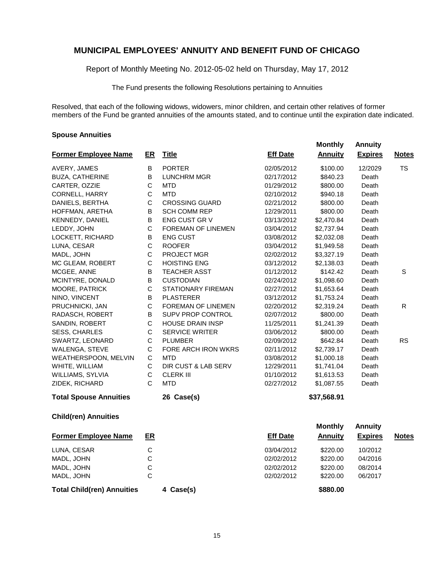Report of Monthly Meeting No. 2012-05-02 held on Thursday, May 17, 2012

The Fund presents the following Resolutions pertaining to Annuities

Resolved, that each of the following widows, widowers, minor children, and certain other relatives of former members of the Fund be granted annuities of the amounts stated, and to continue until the expiration date indicated.

#### **Spouse Annuities**

|                               |              |                         |                 |                | <i><b>AUROUS</b></i> |              |
|-------------------------------|--------------|-------------------------|-----------------|----------------|----------------------|--------------|
| <b>Former Employee Name</b>   | ER           | <b>Title</b>            | <b>Eff Date</b> | <b>Annuity</b> | <b>Expires</b>       | <b>Notes</b> |
| AVERY, JAMES                  | В            | <b>PORTER</b>           | 02/05/2012      | \$100.00       | 12/2029              | <b>TS</b>    |
| <b>BUZA, CATHERINE</b>        | B            | <b>LUNCHRM MGR</b>      | 02/17/2012      | \$840.23       | Death                |              |
| CARTER, OZZIE                 | C            | <b>MTD</b>              | 01/29/2012      | \$800.00       | Death                |              |
| <b>CORNELL, HARRY</b>         | $\mathsf C$  | <b>MTD</b>              | 02/10/2012      | \$940.18       | Death                |              |
| DANIELS, BERTHA               | C            | <b>CROSSING GUARD</b>   | 02/21/2012      | \$800.00       | Death                |              |
| HOFFMAN, ARETHA               | B            | <b>SCH COMM REP</b>     | 12/29/2011      | \$800.00       | Death                |              |
| KENNEDY, DANIEL               | B            | ENG CUST GR V           | 03/13/2012      | \$2,470.84     | Death                |              |
| LEDDY, JOHN                   | $\mathsf C$  | FOREMAN OF LINEMEN      | 03/04/2012      | \$2,737.94     | Death                |              |
| LOCKETT, RICHARD              | В            | <b>ENG CUST</b>         | 03/08/2012      | \$2,032.08     | Death                |              |
| LUNA, CESAR                   | C            | <b>ROOFER</b>           | 03/04/2012      | \$1,949.58     | Death                |              |
| MADL, JOHN                    | $\mathsf C$  | PROJECT MGR             | 02/02/2012      | \$3,327.19     | Death                |              |
| MC GLEAM, ROBERT              | $\mathsf C$  | <b>HOISTING ENG</b>     | 03/12/2012      | \$2,138.03     | Death                |              |
| MCGEE, ANNE                   | B            | <b>TEACHER ASST</b>     | 01/12/2012      | \$142.42       | Death                | S            |
| MCINTYRE, DONALD              | B            | <b>CUSTODIAN</b>        | 02/24/2012      | \$1,098.60     | Death                |              |
| MOORE, PATRICK                | С            | STATIONARY FIREMAN      | 02/27/2012      | \$1,653.64     | Death                |              |
| NINO, VINCENT                 | В            | <b>PLASTERER</b>        | 03/12/2012      | \$1,753.24     | Death                |              |
| PRUCHNICKI, JAN               | $\mathsf C$  | FOREMAN OF LINEMEN      | 02/20/2012      | \$2,319.24     | Death                | R            |
| RADASCH, ROBERT               | B            | SUPV PROP CONTROL       | 02/07/2012      | \$800.00       | Death                |              |
| SANDIN, ROBERT                | $\mathsf C$  | <b>HOUSE DRAIN INSP</b> | 11/25/2011      | \$1,241.39     | Death                |              |
| <b>SESS, CHARLES</b>          | $\mathsf C$  | SERVICE WRITER          | 03/06/2012      | \$800.00       | Death                |              |
| SWARTZ, LEONARD               | C            | <b>PLUMBER</b>          | 02/09/2012      | \$642.84       | Death                | <b>RS</b>    |
| <b>WALENGA, STEVE</b>         | С            | FORE ARCH IRON WKRS     | 02/11/2012      | \$2,739.17     | Death                |              |
| WEATHERSPOON, MELVIN          | C            | <b>MTD</b>              | 03/08/2012      | \$1,000.18     | Death                |              |
| WHITE, WILLIAM                | $\mathsf C$  | DIR CUST & LAB SERV     | 12/29/2011      | \$1,741.04     | Death                |              |
| WILLIAMS, SYLVIA              | C            | <b>CLERK III</b>        | 01/10/2012      | \$1,613.53     | Death                |              |
| ZIDEK, RICHARD                | C            | <b>MTD</b>              | 02/27/2012      | \$1,087.55     | Death                |              |
| <b>Total Spouse Annuities</b> |              | 26 Case(s)              |                 | \$37,568.91    |                      |              |
| <b>Child(ren) Annuities</b>   |              |                         |                 |                |                      |              |
|                               |              |                         |                 | <b>Monthly</b> | <b>Annuity</b>       |              |
| <b>Former Employee Name</b>   | ER           |                         | <b>Eff Date</b> | <b>Annuity</b> | <b>Expires</b>       | <b>Notes</b> |
| LUNA, CESAR                   | $\mathsf C$  |                         | 03/04/2012      | \$220.00       | 10/2012              |              |
| MADL, JOHN                    | $\mathsf C$  |                         | 02/02/2012      | \$220.00       | 04/2016              |              |
| MADL, JOHN                    | $\mathsf{C}$ |                         | 02/02/2012      | \$220.00       | 08/2014              |              |
| MADL, JOHN                    | $\mathsf{C}$ |                         | 02/02/2012      | \$220.00       | 06/2017              |              |

**Total Child(ren) Annuities 4 Case(s) \$880.00**

 **Monthly Annuity**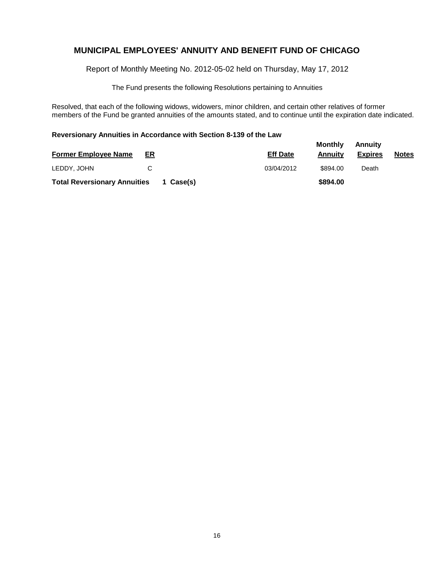Report of Monthly Meeting No. 2012-05-02 held on Thursday, May 17, 2012

The Fund presents the following Resolutions pertaining to Annuities

Resolved, that each of the following widows, widowers, minor children, and certain other relatives of former members of the Fund be granted annuities of the amounts stated, and to continue until the expiration date indicated.

#### **Reversionary Annuities in Accordance with Section 8-139 of the Law**

|                                     |    |           |                 | Monthly  | Annuity        |              |
|-------------------------------------|----|-----------|-----------------|----------|----------------|--------------|
| <b>Former Employee Name</b>         | ER |           | <b>Eff Date</b> | Annuitv  | <b>Expires</b> | <b>Notes</b> |
| LEDDY, JOHN                         | C  |           | 03/04/2012      | \$894.00 | Death          |              |
| <b>Total Reversionary Annuities</b> |    | 1 Case(s) |                 | \$894.00 |                |              |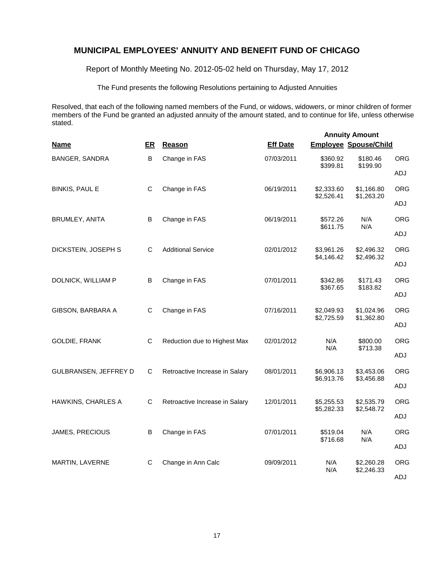Report of Monthly Meeting No. 2012-05-02 held on Thursday, May 17, 2012

The Fund presents the following Resolutions pertaining to Adjusted Annuities

Resolved, that each of the following named members of the Fund, or widows, widowers, or minor children of former members of the Fund be granted an adjusted annuity of the amount stated, and to continue for life, unless otherwise stated.

| <b>Name</b>           | ER           | Reason                         | <b>Eff Date</b> | <b>Employee Spouse/Child</b> | <b>Annuity Amount</b>    |                                                                                                                      |
|-----------------------|--------------|--------------------------------|-----------------|------------------------------|--------------------------|----------------------------------------------------------------------------------------------------------------------|
| BANGER, SANDRA        | B            | Change in FAS                  | 07/03/2011      | \$360.92                     | \$180.46                 | <b>ORG</b>                                                                                                           |
|                       |              |                                |                 | \$399.81                     |                          | ADJ                                                                                                                  |
| <b>BINKIS, PAUL E</b> | C            | Change in FAS                  | 06/19/2011      | \$2,333.60<br>\$2,526.41     | \$1,166.80               | <b>ORG</b>                                                                                                           |
|                       |              |                                |                 |                              |                          | ADJ                                                                                                                  |
| BRUMLEY, ANITA        | B            | Change in FAS                  | 06/19/2011      | \$572.26                     | N/A                      | <b>ORG</b>                                                                                                           |
|                       |              |                                |                 | \$611.75                     | N/A                      | ADJ                                                                                                                  |
| DICKSTEIN, JOSEPH S   | C            | <b>Additional Service</b>      | 02/01/2012      | \$3,961.26                   | \$2,496.32               | <b>ORG</b>                                                                                                           |
|                       |              |                                |                 | \$4,146.42                   |                          | ADJ                                                                                                                  |
| DOLNICK, WILLIAM P    | B            | Change in FAS                  | 07/01/2011      | \$342.86<br>\$367.65         | \$171.43                 | <b>ORG</b>                                                                                                           |
|                       |              |                                |                 |                              |                          | ADJ                                                                                                                  |
| GIBSON, BARBARA A     | C            | Change in FAS                  | 07/16/2011      | \$2,049.93<br>\$2,725.59     | \$1,024.96<br>\$1,362.80 | <b>ORG</b>                                                                                                           |
|                       |              |                                |                 |                              |                          | ADJ                                                                                                                  |
| <b>GOLDIE, FRANK</b>  | $\mathsf{C}$ | Reduction due to Highest Max   | 02/01/2012      | N/A<br>N/A                   | \$800.00                 | <b>ORG</b>                                                                                                           |
|                       |              |                                |                 |                              |                          | ADJ                                                                                                                  |
| GULBRANSEN, JEFFREY D | С            | Retroactive Increase in Salary | 08/01/2011      | \$6,906.13<br>\$6,913.76     | \$3,453.06               | <b>ORG</b>                                                                                                           |
|                       |              |                                |                 |                              | ADJ                      |                                                                                                                      |
| HAWKINS, CHARLES A    | C            | Retroactive Increase in Salary | 12/01/2011      | \$5,255.53<br>\$5,282.33     | \$2,535.79               | <b>ORG</b>                                                                                                           |
|                       |              |                                |                 |                              |                          | ADJ                                                                                                                  |
| JAMES, PRECIOUS       | B            | Change in FAS                  | 07/01/2011      | \$519.04<br>\$716.68         | N/A<br>N/A               | <b>ORG</b>                                                                                                           |
|                       |              |                                |                 |                              |                          | \$199.90<br>\$1,263.20<br>\$2,496.32<br>\$183.82<br>\$713.38<br>\$3,456.88<br>\$2,548.72<br>ADJ<br><b>ORG</b><br>ADJ |
| MARTIN, LAVERNE       | C            | Change in Ann Calc             | 09/09/2011      | N/A                          | \$2,260.28<br>\$2,246.33 |                                                                                                                      |
|                       |              |                                |                 | N/A                          |                          |                                                                                                                      |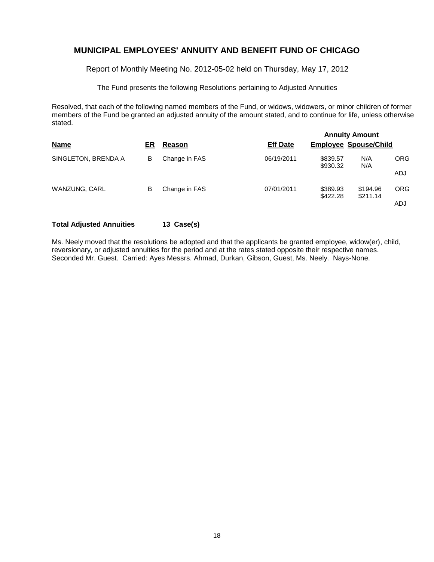Report of Monthly Meeting No. 2012-05-02 held on Thursday, May 17, 2012

The Fund presents the following Resolutions pertaining to Adjusted Annuities

Resolved, that each of the following named members of the Fund, or widows, widowers, or minor children of former members of the Fund be granted an adjusted annuity of the amount stated, and to continue for life, unless otherwise stated.

| <b>Name</b>          | ER | Reason        | <b>Eff Date</b> | <b>Annuity Amount</b><br><b>Employee Spouse/Child</b> |                      |            |  |  |
|----------------------|----|---------------|-----------------|-------------------------------------------------------|----------------------|------------|--|--|
|                      |    |               |                 |                                                       |                      |            |  |  |
| SINGLETON, BRENDA A  | B  | Change in FAS | 06/19/2011      | \$839.57<br>\$930.32                                  | N/A<br>N/A           | <b>ORG</b> |  |  |
|                      |    |               |                 |                                                       |                      | ADJ        |  |  |
| <b>WANZUNG, CARL</b> | в  | Change in FAS | 07/01/2011      | \$389.93<br>\$422.28                                  | \$194.96<br>\$211.14 | <b>ORG</b> |  |  |
|                      |    |               |                 |                                                       |                      | ADJ        |  |  |

#### **Total Adjusted Annuities 13 Case(s)**

Ms. Neely moved that the resolutions be adopted and that the applicants be granted employee, widow(er), child, reversionary, or adjusted annuities for the period and at the rates stated opposite their respective names. Seconded Mr. Guest. Carried: Ayes Messrs. Ahmad, Durkan, Gibson, Guest, Ms. Neely. Nays-None.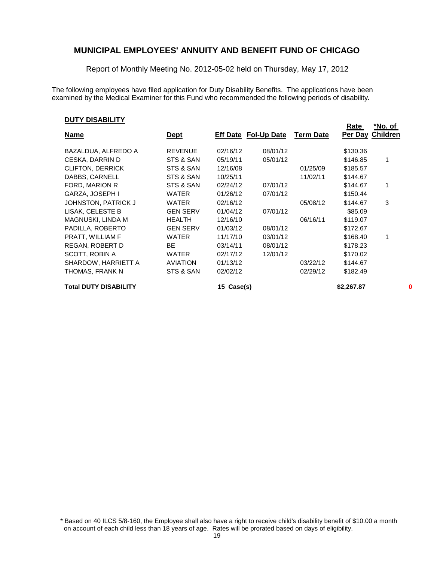Report of Monthly Meeting No. 2012-05-02 held on Thursday, May 17, 2012

The following employees have filed application for Duty Disability Benefits. The applications have been examined by the Medical Examiner for this Fund who recommended the following periods of disability.

#### **DUTY DISABILITY**

|                              |                 |               |                             |                  | <u>Rate</u> | *No. of         |
|------------------------------|-----------------|---------------|-----------------------------|------------------|-------------|-----------------|
| <u>Name</u>                  | <u>Dept</u>     |               | <b>Eff Date Fol-Up Date</b> | <b>Term Date</b> | Per Day     | <b>Children</b> |
| BAZALDUA, ALFREDO A          | <b>REVENUE</b>  | 02/16/12      | 08/01/12                    |                  | \$130.36    |                 |
| CESKA, DARRIN D              | STS & SAN       | 05/19/11      | 05/01/12                    |                  | \$146.85    | 1               |
| <b>CLIFTON, DERRICK</b>      | STS & SAN       | 12/16/08      |                             | 01/25/09         | \$185.57    |                 |
| DABBS, CARNELL               | STS & SAN       | 10/25/11      |                             | 11/02/11         | \$144.67    |                 |
| FORD, MARION R               | STS & SAN       | 02/24/12      | 07/01/12                    |                  | \$144.67    | 1               |
| GARZA, JOSEPH I              | WATER           | 01/26/12      | 07/01/12                    |                  | \$150.44    |                 |
| JOHNSTON, PATRICK J          | WATER           | 02/16/12      |                             | 05/08/12         | \$144.67    | 3               |
| LISAK, CELESTE B             | <b>GEN SERV</b> | 01/04/12      | 07/01/12                    |                  | \$85.09     |                 |
| MAGNUSKI, LINDA M            | <b>HEALTH</b>   | 12/16/10      |                             | 06/16/11         | \$119.07    |                 |
| PADILLA, ROBERTO             | <b>GEN SERV</b> | 01/03/12      | 08/01/12                    |                  | \$172.67    |                 |
| PRATT, WILLIAM F             | WATER           | 11/17/10      | 03/01/12                    |                  | \$168.40    | 1               |
| REGAN, ROBERT D              | BE              | 03/14/11      | 08/01/12                    |                  | \$178.23    |                 |
| SCOTT, ROBIN A               | WATER           | 02/17/12      | 12/01/12                    |                  | \$170.02    |                 |
| SHARDOW, HARRIETT A          | <b>AVIATION</b> | 01/13/12      |                             | 03/22/12         | \$144.67    |                 |
| THOMAS, FRANK N              | STS & SAN       | 02/02/12      |                             | 02/29/12         | \$182.49    |                 |
| <b>Total DUTY DISABILITY</b> |                 | Case(s)<br>15 |                             |                  | \$2,267.87  | 0               |

<sup>\*</sup> Based on 40 ILCS 5/8-160, the Employee shall also have a right to receive child's disability benefit of \$10.00 a month on account of each child less than 18 years of age. Rates will be prorated based on days of eligibility.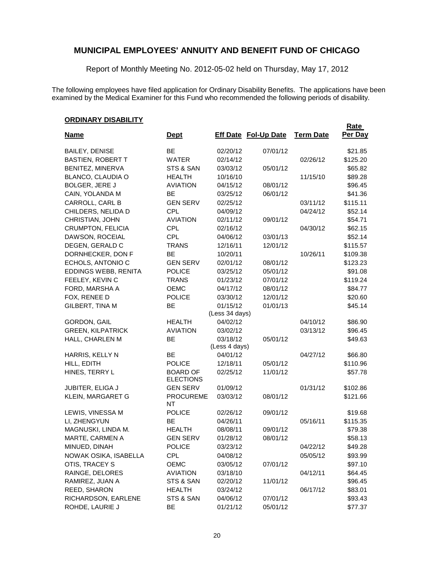Report of Monthly Meeting No. 2012-05-02 held on Thursday, May 17, 2012

The following employees have filed application for Ordinary Disability Benefits. The applications have been examined by the Medical Examiner for this Fund who recommended the following periods of disability.

## **ORDINARY DISABILITY**

| <b>Name</b>              | <u>Dept</u>                         | <b>Eff Date Fol-Up Date</b> |          | <b>Term Date</b> | <b>Rate</b><br>Per Day |
|--------------------------|-------------------------------------|-----------------------------|----------|------------------|------------------------|
| <b>BAILEY, DENISE</b>    | <b>BE</b>                           | 02/20/12                    | 07/01/12 |                  | \$21.85                |
| <b>BASTIEN, ROBERT T</b> | <b>WATER</b>                        | 02/14/12                    |          | 02/26/12         | \$125.20               |
| BENITEZ, MINERVA         | STS & SAN                           | 03/03/12                    | 05/01/12 |                  | \$65.82                |
| BLANCO, CLAUDIA O        | <b>HEALTH</b>                       | 10/16/10                    |          | 11/15/10         | \$89.28                |
| <b>BOLGER, JERE J</b>    | <b>AVIATION</b>                     | 04/15/12                    | 08/01/12 |                  | \$96.45                |
| CAIN, YOLANDA M          | <b>BE</b>                           | 03/25/12                    | 06/01/12 |                  | \$41.36                |
| CARROLL, CARL B          | <b>GEN SERV</b>                     | 02/25/12                    |          | 03/11/12         | \$115.11               |
| CHILDERS, NELIDA D       | <b>CPL</b>                          | 04/09/12                    |          | 04/24/12         | \$52.14                |
| CHRISTIAN, JOHN          | <b>AVIATION</b>                     | 02/11/12                    | 09/01/12 |                  | \$54.71                |
| CRUMPTON, FELICIA        | <b>CPL</b>                          | 02/16/12                    |          | 04/30/12         | \$62.15                |
| DAWSON, ROCEIAL          | <b>CPL</b>                          | 04/06/12                    | 03/01/13 |                  | \$52.14                |
| DEGEN, GERALD C          | <b>TRANS</b>                        | 12/16/11                    | 12/01/12 |                  | \$115.57               |
| DORNHECKER, DON F        | BE                                  | 10/20/11                    |          | 10/26/11         | \$109.38               |
| ECHOLS, ANTONIO C        | <b>GEN SERV</b>                     | 02/01/12                    | 08/01/12 |                  | \$123.23               |
| EDDINGS WEBB, RENITA     | <b>POLICE</b>                       | 03/25/12                    | 05/01/12 |                  | \$91.08                |
| FEELEY, KEVIN C          | <b>TRANS</b>                        | 01/23/12                    | 07/01/12 |                  | \$119.24               |
| FORD, MARSHA A           | <b>OEMC</b>                         | 04/17/12                    | 08/01/12 |                  | \$84.77                |
| FOX, RENEE D             | <b>POLICE</b>                       | 03/30/12                    | 12/01/12 |                  | \$20.60                |
| GILBERT, TINA M          | BE                                  | 01/15/12                    | 01/01/13 |                  | \$45.14                |
|                          |                                     | (Less 34 days)              |          |                  |                        |
| <b>GORDON, GAIL</b>      | <b>HEALTH</b>                       | 04/02/12                    |          | 04/10/12         | \$86.90                |
| <b>GREEN, KILPATRICK</b> | <b>AVIATION</b>                     | 03/02/12                    |          | 03/13/12         | \$96.45                |
| HALL, CHARLEN M          | BE                                  | 03/18/12<br>(Less 4 days)   | 05/01/12 |                  | \$49.63                |
| HARRIS, KELLY N          | <b>BE</b>                           | 04/01/12                    |          | 04/27/12         | \$66.80                |
| HILL, EDITH              | <b>POLICE</b>                       | 12/18/11                    | 05/01/12 |                  | \$110.96               |
| HINES, TERRY L           | <b>BOARD OF</b><br><b>ELECTIONS</b> | 02/25/12                    | 11/01/12 |                  | \$57.78                |
| <b>JUBITER, ELIGA J</b>  | <b>GEN SERV</b>                     | 01/09/12                    |          | 01/31/12         | \$102.86               |
| KLEIN, MARGARET G        | <b>PROCUREME</b><br>NT              | 03/03/12                    | 08/01/12 |                  | \$121.66               |
| LEWIS, VINESSA M         | <b>POLICE</b>                       | 02/26/12                    | 09/01/12 |                  | \$19.68                |
| LI, ZHENGYUN             | BE                                  | 04/26/11                    |          | 05/16/11         | \$115.35               |
| MAGNUSKI, LINDA M.       | <b>HEALTH</b>                       | 08/08/11                    | 09/01/12 |                  | \$79.38                |
| MARTE, CARMEN A          | <b>GEN SERV</b>                     | 01/28/12                    | 08/01/12 |                  | \$58.13                |
| MINUED, DINAH            | <b>POLICE</b>                       | 03/23/12                    |          | 04/22/12         | \$49.28                |
| NOWAK OSIKA, ISABELLA    | CPL                                 | 04/08/12                    |          | 05/05/12         | \$93.99                |
| OTIS, TRACEY S           | OEMC                                | 03/05/12                    | 07/01/12 |                  | \$97.10                |
| RAINGE, DELORES          | <b>AVIATION</b>                     | 03/18/10                    |          | 04/12/11         | \$64.45                |
| RAMIREZ, JUAN A          | STS & SAN                           | 02/20/12                    | 11/01/12 |                  | \$96.45                |
| REED, SHARON             | <b>HEALTH</b>                       | 03/24/12                    |          | 06/17/12         | \$83.01                |
| RICHARDSON, EARLENE      | STS & SAN                           | 04/06/12                    | 07/01/12 |                  | \$93.43                |
| ROHDE, LAURIE J          | BE                                  | 01/21/12                    | 05/01/12 |                  | \$77.37                |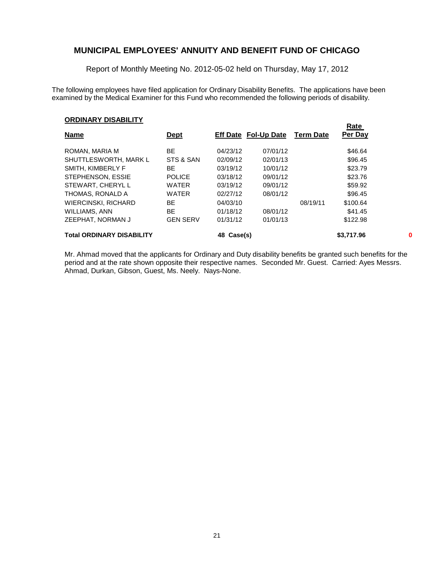Report of Monthly Meeting No. 2012-05-02 held on Thursday, May 17, 2012

The following employees have filed application for Ordinary Disability Benefits. The applications have been examined by the Medical Examiner for this Fund who recommended the following periods of disability.

**Rate** 

#### **ORDINARY DISABILITY**

| <b>Name</b>                      | <b>Dept</b>     |            | <b>Eff Date Fol-Up Date</b> | <b>Term Date</b> | <u>naic</u><br>Per Day |   |
|----------------------------------|-----------------|------------|-----------------------------|------------------|------------------------|---|
| ROMAN, MARIA M                   | ВE              | 04/23/12   | 07/01/12                    |                  | \$46.64                |   |
| SHUTTLESWORTH, MARK L            | STS & SAN       | 02/09/12   | 02/01/13                    |                  | \$96.45                |   |
| SMITH, KIMBERLY F                | BE              | 03/19/12   | 10/01/12                    |                  | \$23.79                |   |
| STEPHENSON, ESSIE                | <b>POLICE</b>   | 03/18/12   | 09/01/12                    |                  | \$23.76                |   |
| STEWART, CHERYL L                | <b>WATER</b>    | 03/19/12   | 09/01/12                    |                  | \$59.92                |   |
| THOMAS, RONALD A                 | <b>WATER</b>    | 02/27/12   | 08/01/12                    |                  | \$96.45                |   |
| <b>WIERCINSKI, RICHARD</b>       | BE.             | 04/03/10   |                             | 08/19/11         | \$100.64               |   |
| WILLIAMS, ANN                    | BE.             | 01/18/12   | 08/01/12                    |                  | \$41.45                |   |
| ZEEPHAT. NORMAN J                | <b>GEN SERV</b> | 01/31/12   | 01/01/13                    |                  | \$122.98               |   |
| <b>Total ORDINARY DISABILITY</b> |                 | 48 Case(s) |                             |                  | \$3,717.96             | 0 |

Mr. Ahmad moved that the applicants for Ordinary and Duty disability benefits be granted such benefits for the period and at the rate shown opposite their respective names. Seconded Mr. Guest. Carried: Ayes Messrs. Ahmad, Durkan, Gibson, Guest, Ms. Neely. Nays-None.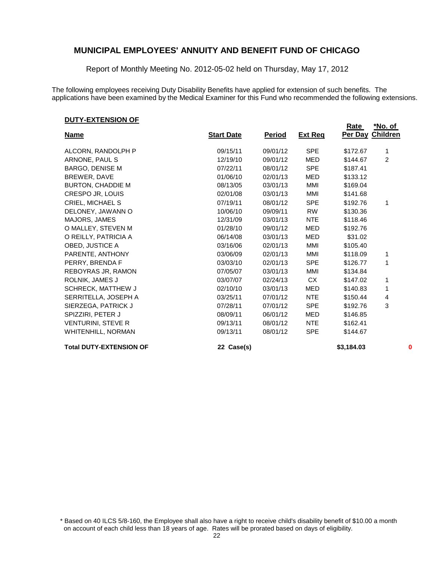Report of Monthly Meeting No. 2012-05-02 held on Thursday, May 17, 2012

The following employees receiving Duty Disability Benefits have applied for extension of such benefits. The applications have been examined by the Medical Examiner for this Fund who recommended the following extensions.

#### **DUTY-EXTENSION OF**

|                                |                   |               |                | Rate<br><b>Per Day Children</b> | <u>*No. of</u> |   |
|--------------------------------|-------------------|---------------|----------------|---------------------------------|----------------|---|
| <u>Name</u>                    | <b>Start Date</b> | <b>Period</b> | <b>Ext Reg</b> |                                 |                |   |
| ALCORN, RANDOLPH P             | 09/15/11          | 09/01/12      | <b>SPE</b>     | \$172.67                        | 1              |   |
| ARNONE, PAUL S                 | 12/19/10          | 09/01/12      | <b>MED</b>     | \$144.67                        | $\overline{c}$ |   |
| <b>BARGO, DENISE M</b>         | 07/22/11          | 08/01/12      | <b>SPE</b>     | \$187.41                        |                |   |
| BREWER, DAVE                   | 01/06/10          | 02/01/13      | MED            | \$133.12                        |                |   |
| <b>BURTON, CHADDIE M</b>       | 08/13/05          | 03/01/13      | MMI            | \$169.04                        |                |   |
| CRESPO JR, LOUIS               | 02/01/08          | 03/01/13      | MMI            | \$141.68                        |                |   |
| CRIEL, MICHAEL S               | 07/19/11          | 08/01/12      | <b>SPE</b>     | \$192.76                        | 1              |   |
| DELONEY, JAWANN O              | 10/06/10          | 09/09/11      | <b>RW</b>      | \$130.36                        |                |   |
| MAJORS, JAMES                  | 12/31/09          | 03/01/13      | <b>NTE</b>     | \$118.46                        |                |   |
| O MALLEY, STEVEN M             | 01/28/10          | 09/01/12      | MED            | \$192.76                        |                |   |
| O REILLY, PATRICIA A           | 06/14/08          | 03/01/13      | <b>MED</b>     | \$31.02                         |                |   |
| OBED, JUSTICE A                | 03/16/06          | 02/01/13      | MMI            | \$105.40                        |                |   |
| PARENTE, ANTHONY               | 03/06/09          | 02/01/13      | MMI            | \$118.09                        | 1              |   |
| PERRY, BRENDA F                | 03/03/10          | 02/01/13      | <b>SPE</b>     | \$126.77                        | 1              |   |
| <b>REBOYRAS JR, RAMON</b>      | 07/05/07          | 03/01/13      | MMI            | \$134.84                        |                |   |
| ROLNIK, JAMES J                | 03/07/07          | 02/24/13      | CX.            | \$147.02                        | 1              |   |
| <b>SCHRECK, MATTHEW J</b>      | 02/10/10          | 03/01/13      | MED            | \$140.83                        | 1              |   |
| SERRITELLA, JOSEPH A           | 03/25/11          | 07/01/12      | <b>NTE</b>     | \$150.44                        | 4              |   |
| SIERZEGA, PATRICK J            | 07/28/11          | 07/01/12      | <b>SPE</b>     | \$192.76                        | 3              |   |
| SPIZZIRI, PETER J              | 08/09/11          | 06/01/12      | MED            | \$146.85                        |                |   |
| VENTURINI, STEVE R             | 09/13/11          | 08/01/12      | <b>NTE</b>     | \$162.41                        |                |   |
| WHITENHILL, NORMAN             | 09/13/11          | 08/01/12      | <b>SPE</b>     | \$144.67                        |                |   |
| <b>Total DUTY-EXTENSION OF</b> | 22 Case(s)        |               |                | \$3,184.03                      |                | 0 |

\* Based on 40 ILCS 5/8-160, the Employee shall also have a right to receive child's disability benefit of \$10.00 a month on account of each child less than 18 years of age. Rates will be prorated based on days of eligibility.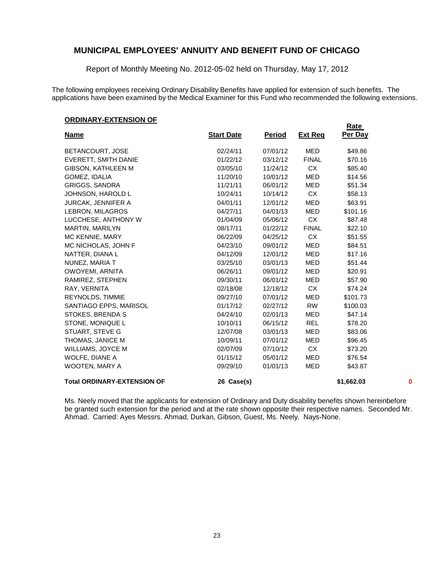Report of Monthly Meeting No. 2012-05-02 held on Thursday, May 17, 2012

The following employees receiving Ordinary Disability Benefits have applied for extension of such benefits. The applications have been examined by the Medical Examiner for this Fund who recommended the following extensions.

**Rate** 

#### **ORDINARY-EXTENSION OF**

| <u>Name</u>                        | <b>Start Date</b> | <u>Period</u> | <u>Ext Req</u> | Per Day    |   |
|------------------------------------|-------------------|---------------|----------------|------------|---|
| BETANCOURT, JOSE                   | 02/24/11          | 07/01/12      | <b>MED</b>     | \$49.86    |   |
| <b>EVERETT, SMITH DANIE</b>        | 01/22/12          | 03/12/12      | <b>FINAL</b>   | \$70.16    |   |
| <b>GIBSON, KATHLEEN M</b>          | 03/05/10          | 11/24/12      | CX             | \$85.40    |   |
| GOMEZ, IDALIA                      | 11/20/10          | 10/01/12      | <b>MED</b>     | \$14.56    |   |
| <b>GRIGGS, SANDRA</b>              | 11/21/11          | 06/01/12      | MED            | \$51.34    |   |
| JOHNSON, HAROLD L                  | 10/24/11          | 10/14/12      | CX             | \$58.13    |   |
| <b>JURCAK, JENNIFER A</b>          | 04/01/11          | 12/01/12      | <b>MED</b>     | \$63.91    |   |
| LEBRON, MILAGROS                   | 04/27/11          | 04/01/13      | <b>MED</b>     | \$101.16   |   |
| LUCCHESE, ANTHONY W                | 01/04/09          | 05/06/12      | CX             | \$87.48    |   |
| MARTIN, MARILYN                    | 08/17/11          | 01/22/12      | <b>FINAL</b>   | \$22.10    |   |
| MC KENNIE, MARY                    | 06/22/09          | 04/25/12      | <b>CX</b>      | \$51.55    |   |
| MC NICHOLAS, JOHN F                | 04/23/10          | 09/01/12      | <b>MED</b>     | \$84.51    |   |
| NATTER, DIANA L                    | 04/12/09          | 12/01/12      | <b>MED</b>     | \$17.16    |   |
| NUNEZ, MARIA T                     | 03/25/10          | 03/01/13      | <b>MED</b>     | \$51.44    |   |
| OWOYEMI, ARNITA                    | 06/26/11          | 09/01/12      | <b>MED</b>     | \$20.91    |   |
| RAMIREZ, STEPHEN                   | 09/30/11          | 06/01/12      | <b>MED</b>     | \$57.90    |   |
| RAY, VERNITA                       | 02/18/08          | 12/18/12      | CX             | \$74.24    |   |
| <b>REYNOLDS, TIMMIE</b>            | 09/27/10          | 07/01/12      | MED            | \$101.73   |   |
| SANTIAGO EPPS, MARISOL             | 01/17/12          | 02/27/12      | <b>RW</b>      | \$100.03   |   |
| STOKES, BRENDA S                   | 04/24/10          | 02/01/13      | MED            | \$47.14    |   |
| STONE, MONIQUE L                   | 10/10/11          | 06/15/12      | <b>REL</b>     | \$78.20    |   |
| STUART, STEVE G                    | 12/07/08          | 03/01/13      | <b>MED</b>     | \$83.06    |   |
| THOMAS, JANICE M                   | 10/09/11          | 07/01/12      | <b>MED</b>     | \$96.45    |   |
| WILLIAMS, JOYCE M                  | 02/07/09          | 07/10/12      | CX             | \$73.20    |   |
| WOLFE, DIANE A                     | 01/15/12          | 05/01/12      | <b>MED</b>     | \$76.54    |   |
| <b>WOOTEN, MARY A</b>              | 09/29/10          | 01/01/13      | <b>MED</b>     | \$43.87    |   |
| <b>Total ORDINARY-EXTENSION OF</b> | 26 Case(s)        |               |                | \$1,662.03 | 0 |

Ms. Neely moved that the applicants for extension of Ordinary and Duty disability benefits shown hereinbefore be granted such extension for the period and at the rate shown opposite their respective names. Seconded Mr. Ahmad. Carried: Ayes Messrs. Ahmad, Durkan, Gibson, Guest, Ms. Neely. Nays-None.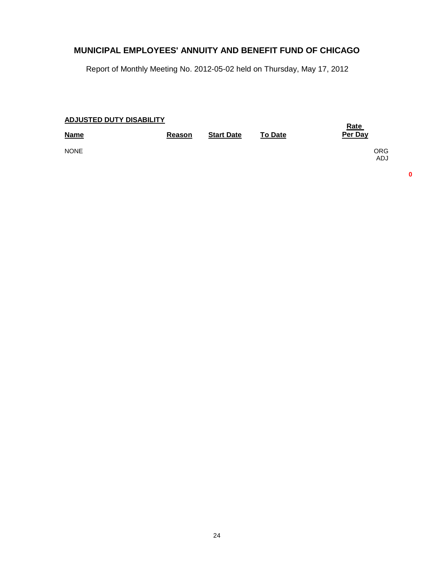Report of Monthly Meeting No. 2012-05-02 held on Thursday, May 17, 2012

| ADJUSTED DUTY DISABILITY | <b>Rate</b> |                   |                |                          |
|--------------------------|-------------|-------------------|----------------|--------------------------|
| <b>Name</b>              | Reason      | <b>Start Date</b> | <b>To Date</b> | Per Day                  |
| <b>NONE</b>              |             |                   |                | <b>ORG</b><br><b>ADJ</b> |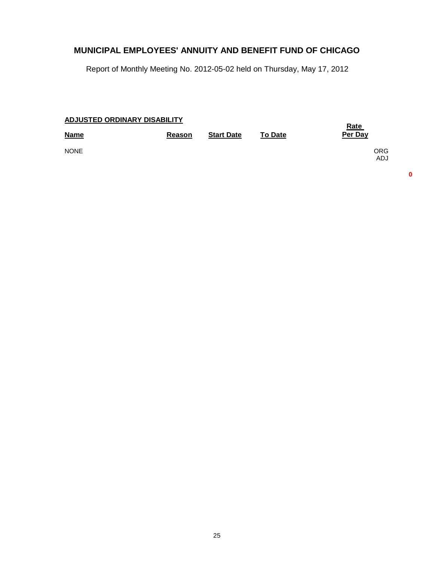Report of Monthly Meeting No. 2012-05-02 held on Thursday, May 17, 2012

| <b>ADJUSTED ORDINARY DISABILITY</b> | <b>Rate</b> |                   |                |                          |
|-------------------------------------|-------------|-------------------|----------------|--------------------------|
| <b>Name</b>                         | Reason      | <b>Start Date</b> | <b>To Date</b> | Per Day                  |
| <b>NONE</b>                         |             |                   |                | <b>ORG</b><br><b>ADJ</b> |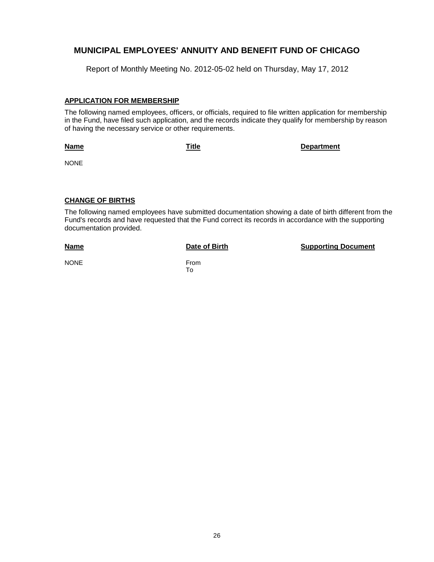Report of Monthly Meeting No. 2012-05-02 held on Thursday, May 17, 2012

#### **APPLICATION FOR MEMBERSHIP**

The following named employees, officers, or officials, required to file written application for membership in the Fund, have filed such application, and the records indicate they qualify for membership by reason of having the necessary service or other requirements.

#### **Name**

**Title Department**

NONE

#### **CHANGE OF BIRTHS**

The following named employees have submitted documentation showing a date of birth different from the Fund's records and have requested that the Fund correct its records in accordance with the supporting documentation provided.

#### **Name**

**Date of Birth Supporting Document** 

NONE From

To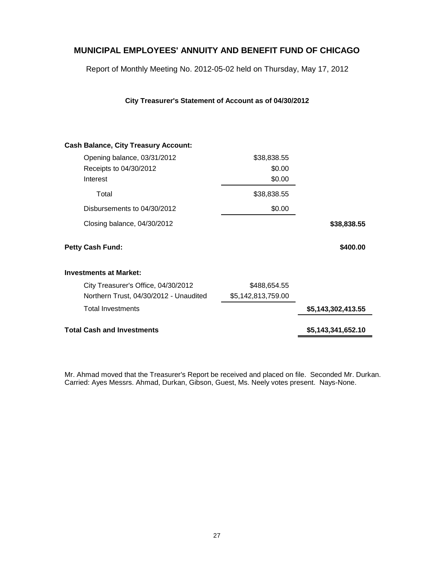Report of Monthly Meeting No. 2012-05-02 held on Thursday, May 17, 2012

**City Treasurer's Statement of Account as of 04/30/2012**

# \$38,838.55 **Cash Balance, City Treasury Account: Investments at Market:** Opening balance, 03/31/2012 Receipts to 04/30/2012 Disbursements to 04/30/2012 Closing balance, 04/30/2012 City Treasurer's Office, 04/30/2012 Northern Trust, 04/30/2012 - Unaudited \$0.00 Interest \$0.00 Total \$38,838.55 \$0.00 **\$38,838.55 Petty Cash Fund: \$400.00** \$488,654.55 \$5,142,813,759.00 Total Investments **\$5,143,302,413.55**

**Total Cash and Investments \$5,143,341,652.10**

Mr. Ahmad moved that the Treasurer's Report be received and placed on file. Seconded Mr. Durkan. Carried: Ayes Messrs. Ahmad, Durkan, Gibson, Guest, Ms. Neely votes present. Nays-None.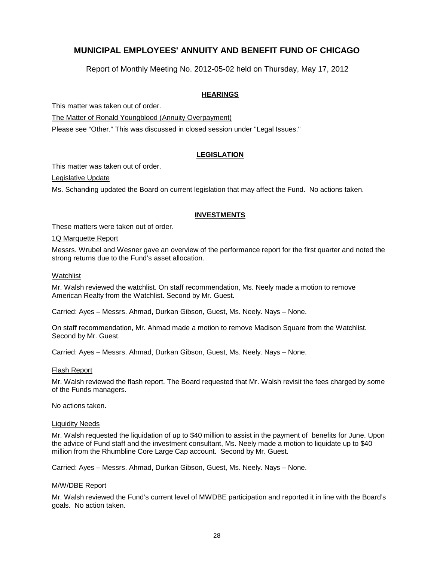Report of Monthly Meeting No. 2012-05-02 held on Thursday, May 17, 2012

#### **HEARINGS**

This matter was taken out of order.

The Matter of Ronald Youngblood (Annuity Overpayment)

Please see "Other." This was discussed in closed session under "Legal Issues."

#### **LEGISLATION**

This matter was taken out of order.

Legislative Update

Ms. Schanding updated the Board on current legislation that may affect the Fund. No actions taken.

#### **INVESTMENTS**

These matters were taken out of order.

#### 1Q Marquette Report

Messrs. Wrubel and Wesner gave an overview of the performance report for the first quarter and noted the strong returns due to the Fund's asset allocation.

#### Watchlist

Mr. Walsh reviewed the watchlist. On staff recommendation, Ms. Neely made a motion to remove American Realty from the Watchlist. Second by Mr. Guest.

Carried: Ayes – Messrs. Ahmad, Durkan Gibson, Guest, Ms. Neely. Nays – None.

On staff recommendation, Mr. Ahmad made a motion to remove Madison Square from the Watchlist. Second by Mr. Guest.

Carried: Ayes – Messrs. Ahmad, Durkan Gibson, Guest, Ms. Neely. Nays – None.

#### Flash Report

Mr. Walsh reviewed the flash report. The Board requested that Mr. Walsh revisit the fees charged by some of the Funds managers.

No actions taken.

#### Liquidity Needs

Mr. Walsh requested the liquidation of up to \$40 million to assist in the payment of benefits for June. Upon the advice of Fund staff and the investment consultant, Ms. Neely made a motion to liquidate up to \$40 million from the Rhumbline Core Large Cap account. Second by Mr. Guest.

Carried: Ayes – Messrs. Ahmad, Durkan Gibson, Guest, Ms. Neely. Nays – None.

#### M/W/DBE Report

Mr. Walsh reviewed the Fund's current level of MWDBE participation and reported it in line with the Board's goals. No action taken.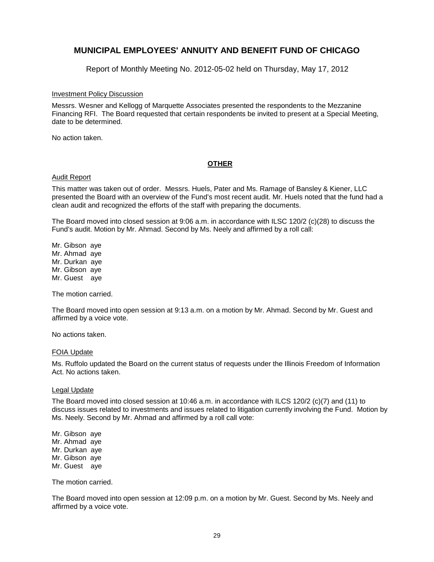Report of Monthly Meeting No. 2012-05-02 held on Thursday, May 17, 2012

#### Investment Policy Discussion

Messrs. Wesner and Kellogg of Marquette Associates presented the respondents to the Mezzanine Financing RFI. The Board requested that certain respondents be invited to present at a Special Meeting, date to be determined.

No action taken.

#### **OTHER**

#### Audit Report

This matter was taken out of order. Messrs. Huels, Pater and Ms. Ramage of Bansley & Kiener, LLC presented the Board with an overview of the Fund's most recent audit. Mr. Huels noted that the fund had a clean audit and recognized the efforts of the staff with preparing the documents.

The Board moved into closed session at 9:06 a.m. in accordance with ILSC 120/2 (c)(28) to discuss the Fund's audit. Motion by Mr. Ahmad. Second by Ms. Neely and affirmed by a roll call:

Mr. Gibson aye Mr. Ahmad aye Mr. Durkan aye Mr. Gibson aye Mr. Guest aye

The motion carried.

The Board moved into open session at 9:13 a.m. on a motion by Mr. Ahmad. Second by Mr. Guest and affirmed by a voice vote.

No actions taken.

#### FOIA Update

Ms. Ruffolo updated the Board on the current status of requests under the Illinois Freedom of Information Act. No actions taken.

#### Legal Update

The Board moved into closed session at 10:46 a.m. in accordance with ILCS 120/2 (c)(7) and (11) to discuss issues related to investments and issues related to litigation currently involving the Fund. Motion by Ms. Neely. Second by Mr. Ahmad and affirmed by a roll call vote:

Mr. Gibson aye Mr. Ahmad aye Mr. Durkan aye Mr. Gibson aye Mr. Guest aye

The motion carried.

The Board moved into open session at 12:09 p.m. on a motion by Mr. Guest. Second by Ms. Neely and affirmed by a voice vote.